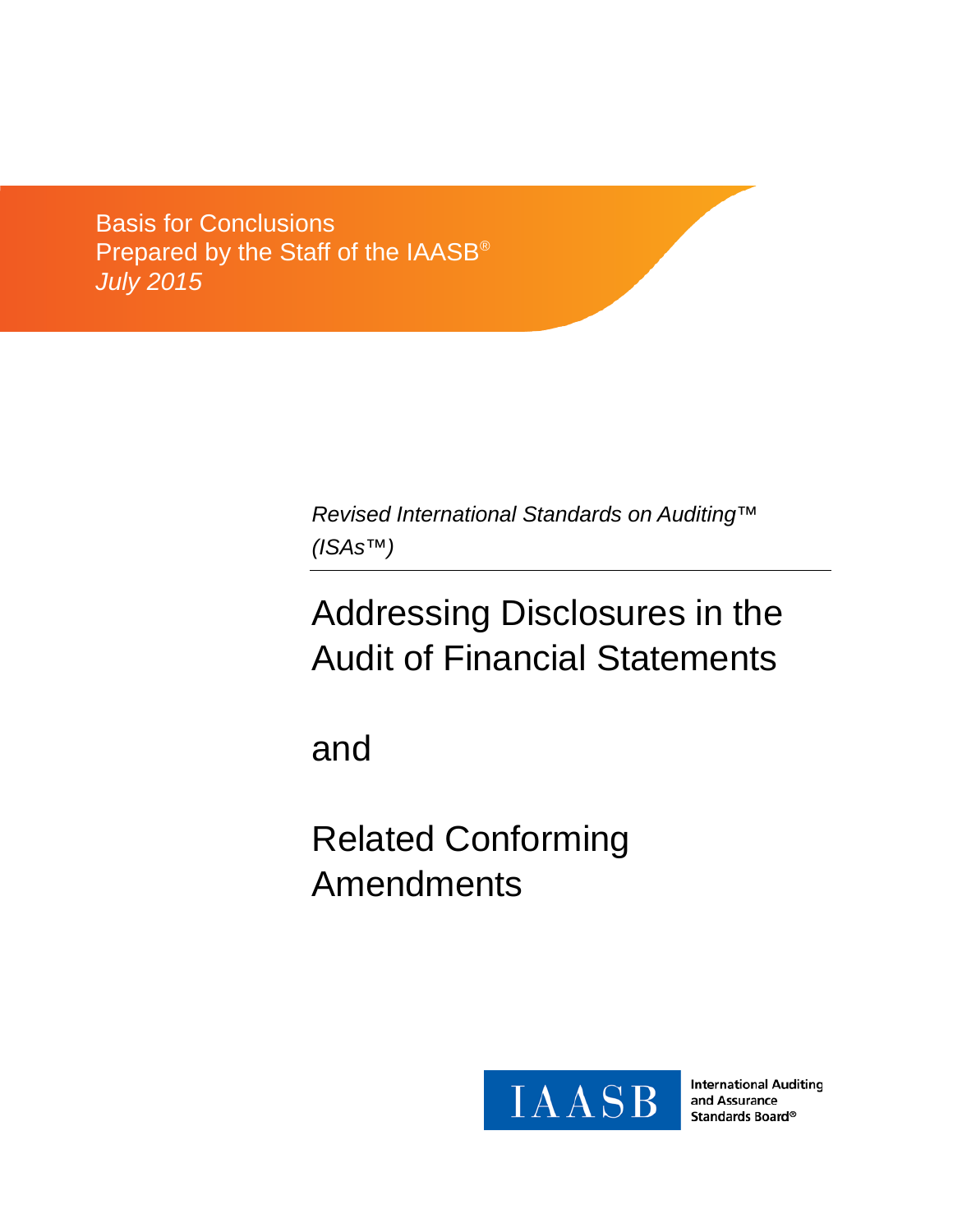Basis for Conclusions Prepared by the Staff of the IAASB® *July 2015*

> *Revised International Standards on Auditing™ (ISAs™)*

# Addressing Disclosures in the Audit of Financial Statements

and

Related Conforming Amendments



**International Auditing** and Assurance Standards Board®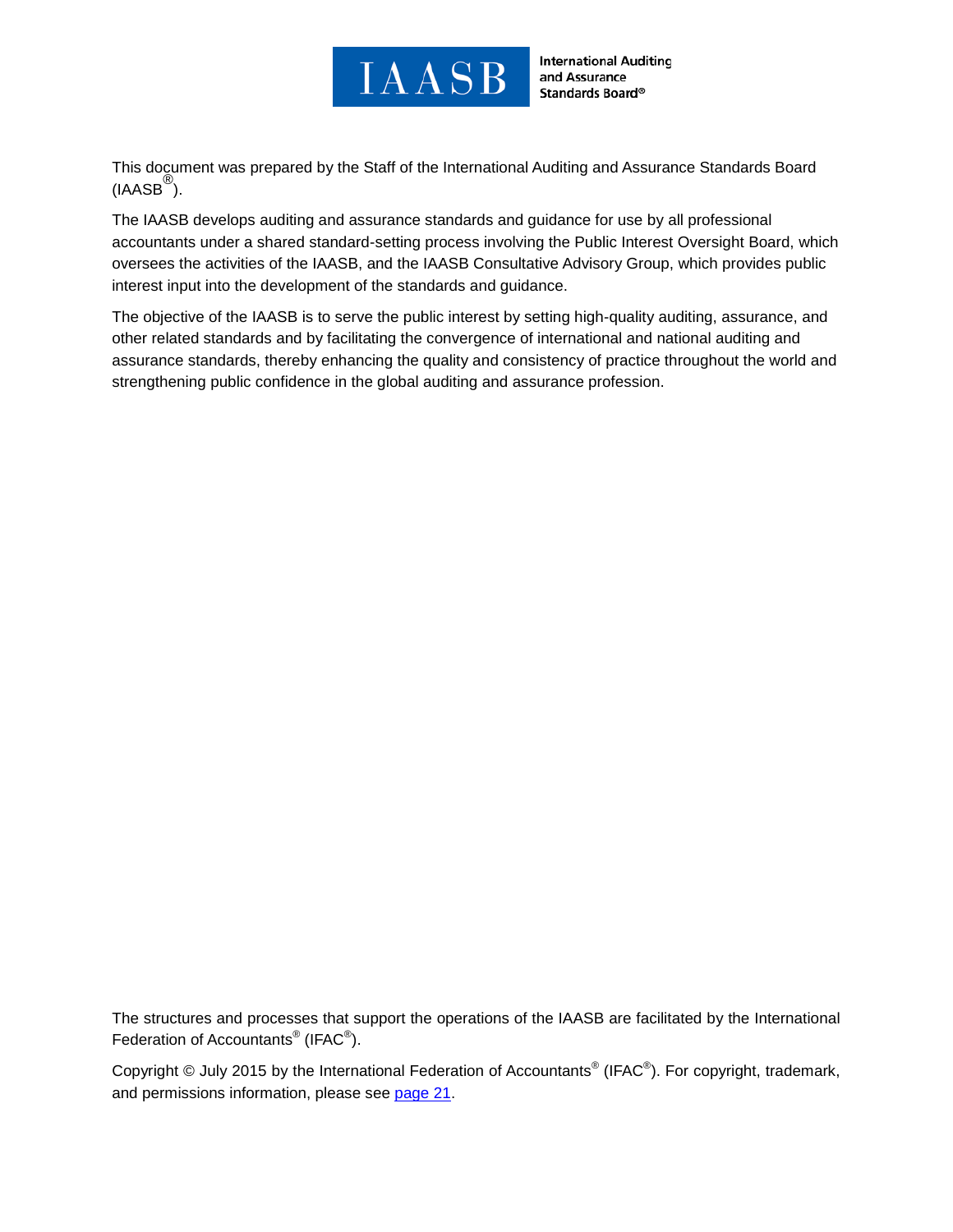

**International Auditing** and Assurance Standards Board®

This document was prepared by the Staff of the International Auditing and Assurance Standards Board  $(IAASB^{\heartsuit})$ .

The IAASB develops auditing and assurance standards and guidance for use by all professional accountants under a shared standard-setting process involving the Public Interest Oversight Board, which oversees the activities of the IAASB, and the IAASB Consultative Advisory Group, which provides public interest input into the development of the standards and guidance.

The objective of the IAASB is to serve the public interest by setting high-quality auditing, assurance, and other related standards and by facilitating the convergence of international and national auditing and assurance standards, thereby enhancing the quality and consistency of practice throughout the world and strengthening public confidence in the global auditing and assurance profession.

The structures and processes that support the operations of the IAASB are facilitated by the International Federation of Accountants<sup>®</sup> (IFAC<sup>®</sup>).

Copyright © July 2015 by the International Federation of Accountants® (IFAC®). For copyright, trademark, and permissions information, please see [page 21.](#page-20-0)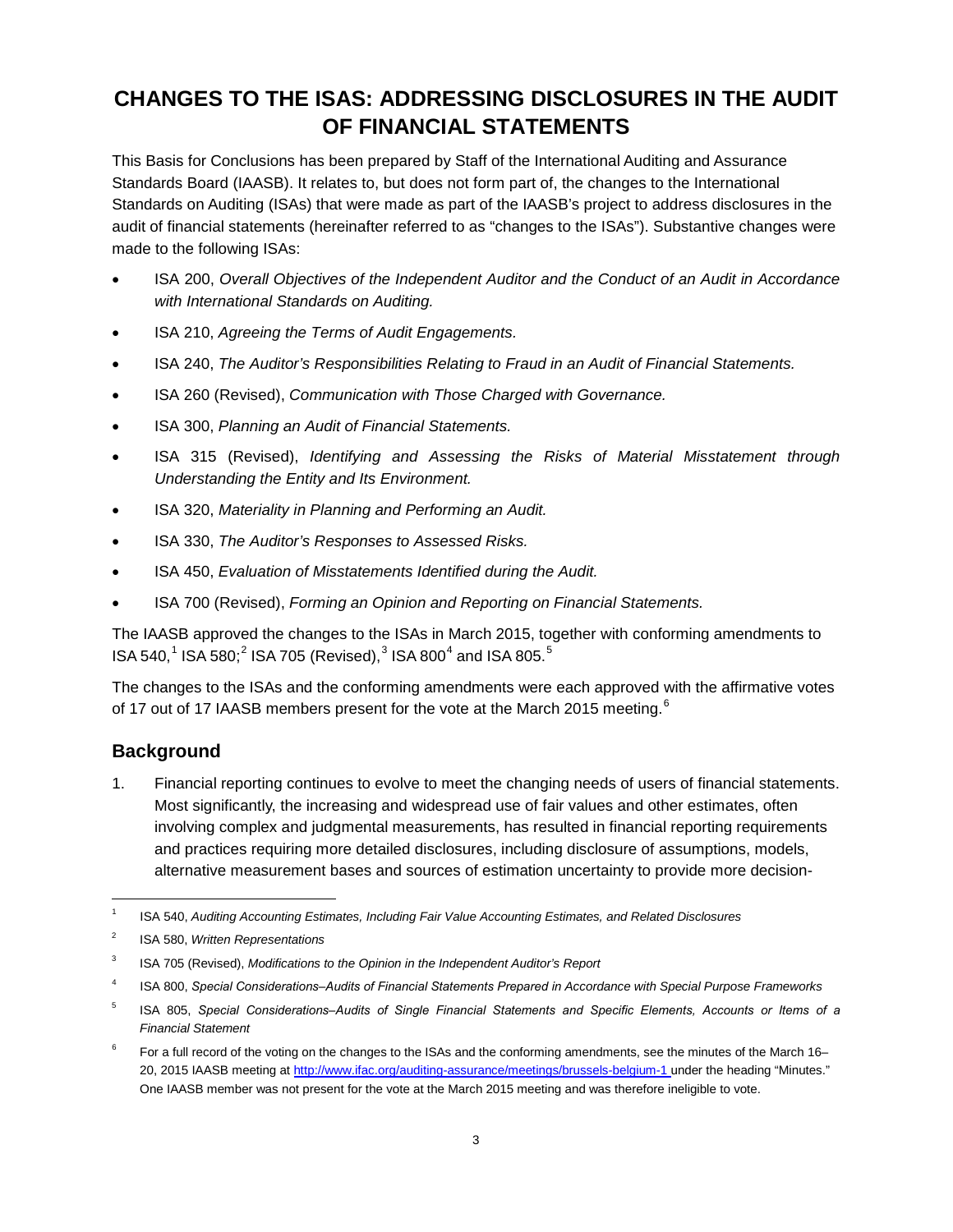## **CHANGES TO THE ISAS: ADDRESSING DISCLOSURES IN THE AUDIT OF FINANCIAL STATEMENTS**

This Basis for Conclusions has been prepared by Staff of the International Auditing and Assurance Standards Board (IAASB). It relates to, but does not form part of, the changes to the International Standards on Auditing (ISAs) that were made as part of the IAASB's project to address disclosures in the audit of financial statements (hereinafter referred to as "changes to the ISAs"). Substantive changes were made to the following ISAs:

- ISA 200, *Overall Objectives of the Independent Auditor and the Conduct of an Audit in Accordance with International Standards on Auditing.*
- ISA 210, *Agreeing the Terms of Audit Engagements.*
- ISA 240, *The Auditor's Responsibilities Relating to Fraud in an Audit of Financial Statements.*
- ISA 260 (Revised), *Communication with Those Charged with Governance.*
- ISA 300, *Planning an Audit of Financial Statements.*
- ISA 315 (Revised), *Identifying and Assessing the Risks of Material Misstatement through Understanding the Entity and Its Environment.*
- ISA 320, *Materiality in Planning and Performing an Audit.*
- ISA 330, *The Auditor's Responses to Assessed Risks.*
- ISA 450, *Evaluation of Misstatements Identified during the Audit.*
- ISA 700 (Revised), *Forming an Opinion and Reporting on Financial Statements.*

The IAASB approved the changes to the ISAs in March 2015, together with conforming amendments to  $ISA 540, 1$  $ISA 540, 1$  ISA 580;<sup>[2](#page-2-1)</sup> ISA 705 (Revised),<sup>[3](#page-2-2)</sup> ISA 800<sup>[4](#page-2-3)</sup> and ISA 80[5](#page-2-4).<sup>5</sup>

The changes to the ISAs and the conforming amendments were each approved with the affirmative votes of 17 out of 17 IAASB members present for the vote at the March 2015 meeting.<sup>[6](#page-2-5)</sup>

## **Background**

j

1. Financial reporting continues to evolve to meet the changing needs of users of financial statements. Most significantly, the increasing and widespread use of fair values and other estimates, often involving complex and judgmental measurements, has resulted in financial reporting requirements and practices requiring more detailed disclosures, including disclosure of assumptions, models, alternative measurement bases and sources of estimation uncertainty to provide more decision-

- <span id="page-2-3"></span><sup>4</sup> ISA 800, *Special Considerations‒Audits of Financial Statements Prepared in Accordance with Special Purpose Frameworks*
- <span id="page-2-4"></span><sup>5</sup> ISA 805, Special Considerations–Audits of Single Financial Statements and Specific Elements, Accounts or Items of a *Financial Statement*

<span id="page-2-0"></span><sup>1</sup> ISA 540, *Auditing Accounting Estimates, Including Fair Value Accounting Estimates, and Related Disclosures*

<span id="page-2-1"></span><sup>2</sup> ISA 580, *Written Representations*

<span id="page-2-2"></span><sup>&</sup>lt;sup>3</sup> ISA 705 (Revised), *Modifications to the Opinion in the Independent Auditor's Report* 

<span id="page-2-5"></span><sup>6</sup> For a full record of the voting on the changes to the ISAs and the conforming amendments, see the minutes of the March 16– 20, 2015 IAASB meeting at <http://www.ifac.org/auditing-assurance/meetings/brussels-belgium-1> under the heading "Minutes." One IAASB member was not present for the vote at the March 2015 meeting and was therefore ineligible to vote.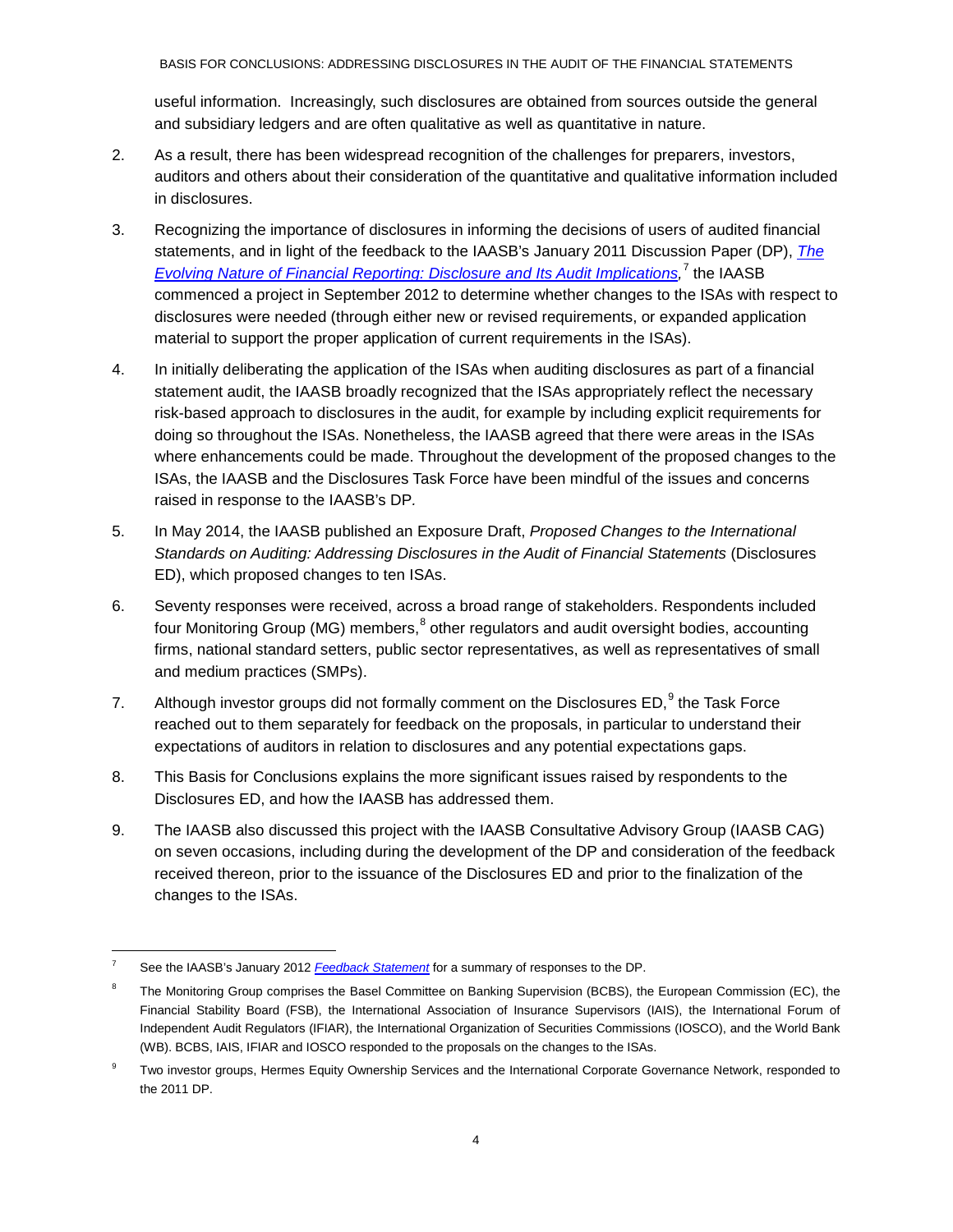useful information. Increasingly, such disclosures are obtained from sources outside the general and subsidiary ledgers and are often qualitative as well as quantitative in nature.

- 2. As a result, there has been widespread recognition of the challenges for preparers, investors, auditors and others about their consideration of the quantitative and qualitative information included in disclosures.
- 3. Recognizing the importance of disclosures in informing the decisions of users of audited financial statements, and in light of the feedback to the IAASB's January 2011 Discussion Paper (DP), *[The](http://www.ifac.org/sites/default/files/publications/exposure-drafts/IAASB-Disclosures_Discussion_Paper.pdf)  [Evolving Nature of Financial Reporting: Disclosure and Its Audit Implications,](http://www.ifac.org/sites/default/files/publications/exposure-drafts/IAASB-Disclosures_Discussion_Paper.pdf)* [7](#page-3-0) the IAASB commenced a project in September 2012 to determine whether changes to the ISAs with respect to disclosures were needed (through either new or revised requirements, or expanded application material to support the proper application of current requirements in the ISAs).
- 4. In initially deliberating the application of the ISAs when auditing disclosures as part of a financial statement audit, the IAASB broadly recognized that the ISAs appropriately reflect the necessary risk-based approach to disclosures in the audit, for example by including explicit requirements for doing so throughout the ISAs. Nonetheless, the IAASB agreed that there were areas in the ISAs where enhancements could be made. Throughout the development of the proposed changes to the ISAs, the IAASB and the Disclosures Task Force have been mindful of the issues and concerns raised in response to the IAASB's DP*.*
- 5. In May 2014, the IAASB published an Exposure Draft, *Proposed Changes to the International Standards on Auditing: Addressing Disclosures in the Audit of Financial Statements* (Disclosures ED), which proposed changes to ten ISAs.
- 6. Seventy responses were received, across a broad range of stakeholders. Respondents included four Monitoring Group (MG) members,  $8$  other regulators and audit oversight bodies, accounting firms, national standard setters, public sector representatives, as well as representatives of small and medium practices (SMPs).
- 7. Although investor groups did not formally comment on the Disclosures  $ED<sub>1</sub><sup>9</sup>$  $ED<sub>1</sub><sup>9</sup>$  $ED<sub>1</sub><sup>9</sup>$  the Task Force reached out to them separately for feedback on the proposals, in particular to understand their expectations of auditors in relation to disclosures and any potential expectations gaps.
- 8. This Basis for Conclusions explains the more significant issues raised by respondents to the Disclosures ED, and how the IAASB has addressed them.
- 9. The IAASB also discussed this project with the IAASB Consultative Advisory Group (IAASB CAG) on seven occasions, including during the development of the DP and consideration of the feedback received thereon, prior to the issuance of the Disclosures ED and prior to the finalization of the changes to the ISAs.

<span id="page-3-0"></span><sup>7</sup> See the IAASB's January 2012 *[Feedback Statement](http://www.ifac.org/publications-resources/feedback-statement-disclosures)* for a summary of responses to the DP.

<span id="page-3-1"></span>The Monitoring Group comprises the Basel Committee on Banking Supervision (BCBS), the European Commission (EC), the Financial Stability Board (FSB), the International Association of Insurance Supervisors (IAIS), the International Forum of Independent Audit Regulators (IFIAR), the International Organization of Securities Commissions (IOSCO), and the World Bank (WB). BCBS, IAIS, IFIAR and IOSCO responded to the proposals on the changes to the ISAs.

<span id="page-3-2"></span><sup>&</sup>lt;sup>9</sup> Two investor groups, Hermes Equity Ownership Services and the International Corporate Governance Network, responded to the 2011 DP.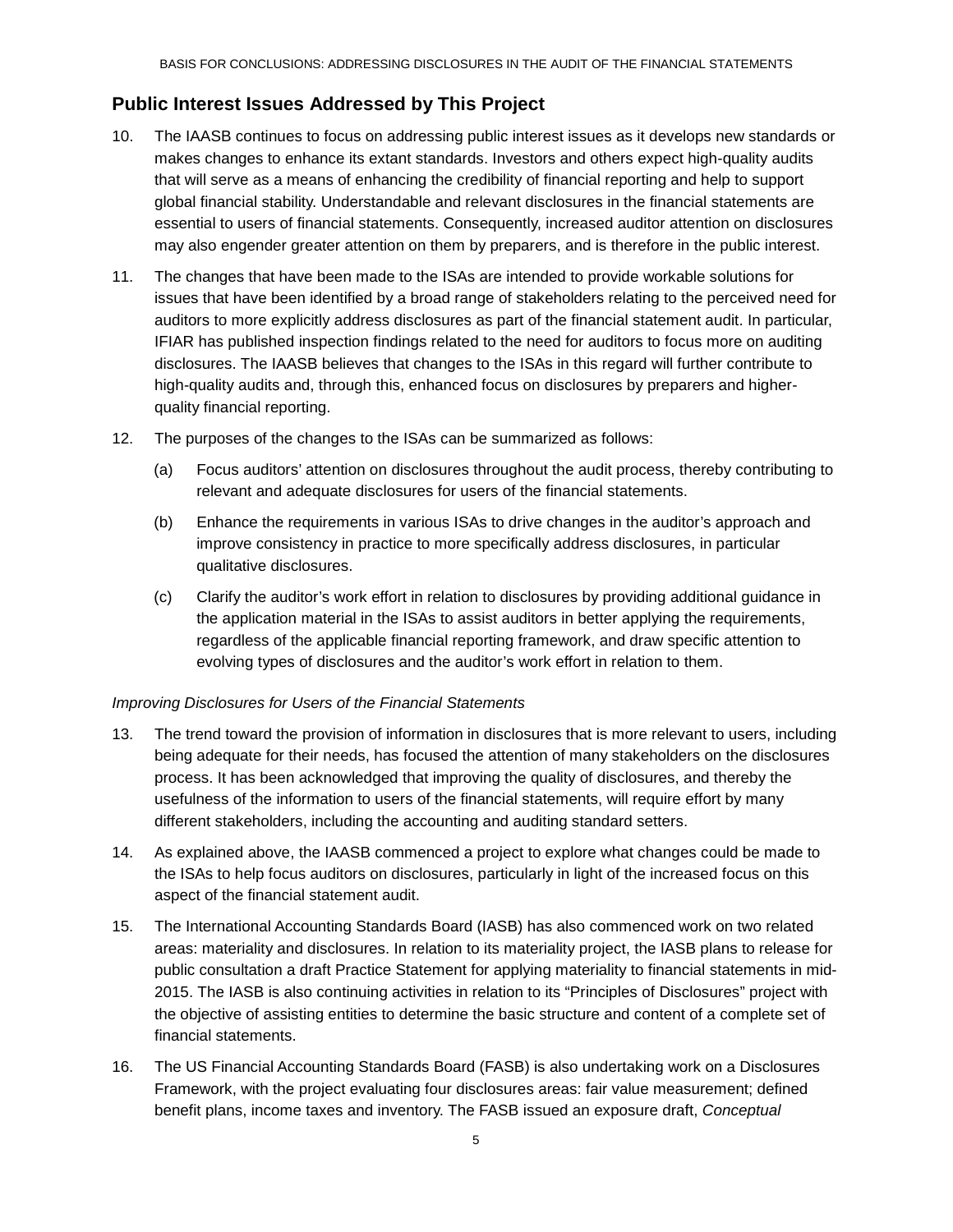## **Public Interest Issues Addressed by This Project**

- 10. The IAASB continues to focus on addressing public interest issues as it develops new standards or makes changes to enhance its extant standards. Investors and others expect high-quality audits that will serve as a means of enhancing the credibility of financial reporting and help to support global financial stability. Understandable and relevant disclosures in the financial statements are essential to users of financial statements. Consequently, increased auditor attention on disclosures may also engender greater attention on them by preparers, and is therefore in the public interest.
- 11. The changes that have been made to the ISAs are intended to provide workable solutions for issues that have been identified by a broad range of stakeholders relating to the perceived need for auditors to more explicitly address disclosures as part of the financial statement audit. In particular, IFIAR has published inspection findings related to the need for auditors to focus more on auditing disclosures. The IAASB believes that changes to the ISAs in this regard will further contribute to high-quality audits and, through this, enhanced focus on disclosures by preparers and higherquality financial reporting.
- 12. The purposes of the changes to the ISAs can be summarized as follows:
	- (a) Focus auditors' attention on disclosures throughout the audit process, thereby contributing to relevant and adequate disclosures for users of the financial statements.
	- (b) Enhance the requirements in various ISAs to drive changes in the auditor's approach and improve consistency in practice to more specifically address disclosures, in particular qualitative disclosures.
	- (c) Clarify the auditor's work effort in relation to disclosures by providing additional guidance in the application material in the ISAs to assist auditors in better applying the requirements, regardless of the applicable financial reporting framework, and draw specific attention to evolving types of disclosures and the auditor's work effort in relation to them.

#### *Improving Disclosures for Users of the Financial Statements*

- 13. The trend toward the provision of information in disclosures that is more relevant to users, including being adequate for their needs, has focused the attention of many stakeholders on the disclosures process. It has been acknowledged that improving the quality of disclosures, and thereby the usefulness of the information to users of the financial statements, will require effort by many different stakeholders, including the accounting and auditing standard setters.
- 14. As explained above, the IAASB commenced a project to explore what changes could be made to the ISAs to help focus auditors on disclosures, particularly in light of the increased focus on this aspect of the financial statement audit.
- 15. The International Accounting Standards Board (IASB) has also commenced work on two related areas: materiality and disclosures. In relation to its materiality project, the IASB plans to release for public consultation a draft Practice Statement for applying materiality to financial statements in mid-2015. The IASB is also continuing activities in relation to its "Principles of Disclosures" project with the objective of assisting entities to determine the basic structure and content of a complete set of financial statements.
- 16. The US Financial Accounting Standards Board (FASB) is also undertaking work on a Disclosures Framework, with the project evaluating four disclosures areas: fair value measurement; defined benefit plans, income taxes and inventory. The FASB issued an exposure draft, *Conceptual*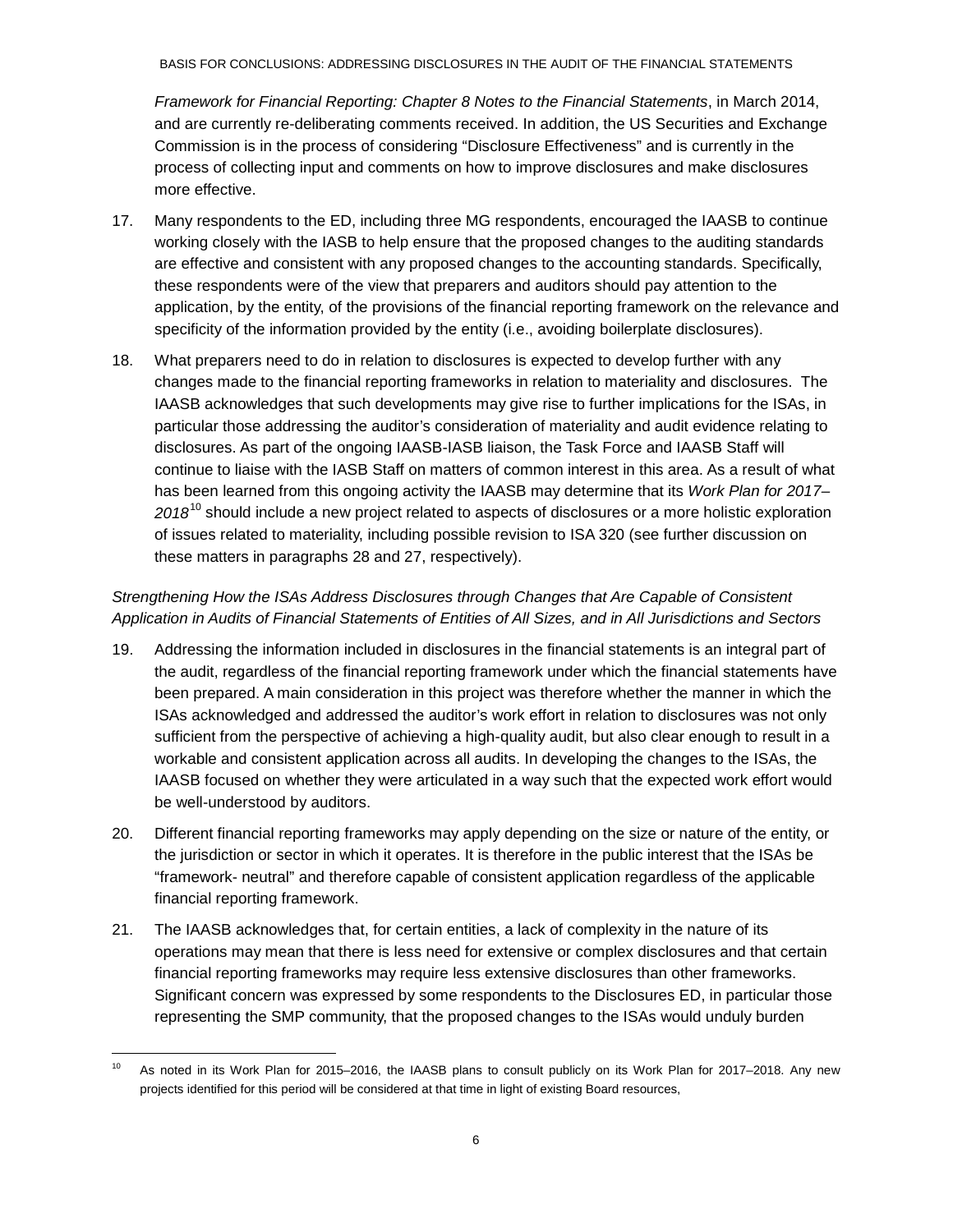BASIS FOR CONCLUSIONS: ADDRESSING DISCLOSURES IN THE AUDIT OF THE FINANCIAL STATEMENTS

*Framework for Financial Reporting: Chapter 8 Notes to the Financial Statements*, in March 2014, and are currently re-deliberating comments received. In addition, the US Securities and Exchange Commission is in the process of considering "Disclosure Effectiveness" and is currently in the process of collecting input and comments on how to improve disclosures and make disclosures more effective.

- 17. Many respondents to the ED, including three MG respondents, encouraged the IAASB to continue working closely with the IASB to help ensure that the proposed changes to the auditing standards are effective and consistent with any proposed changes to the accounting standards. Specifically, these respondents were of the view that preparers and auditors should pay attention to the application, by the entity, of the provisions of the financial reporting framework on the relevance and specificity of the information provided by the entity (i.e., avoiding boilerplate disclosures).
- 18. What preparers need to do in relation to disclosures is expected to develop further with any changes made to the financial reporting frameworks in relation to materiality and disclosures. The IAASB acknowledges that such developments may give rise to further implications for the ISAs, in particular those addressing the auditor's consideration of materiality and audit evidence relating to disclosures. As part of the ongoing IAASB-IASB liaison, the Task Force and IAASB Staff will continue to liaise with the IASB Staff on matters of common interest in this area. As a result of what has been learned from this ongoing activity the IAASB may determine that its *Work Plan for 2017–* 2018<sup>[10](#page-5-0)</sup> should include a new project related to aspects of disclosures or a more holistic exploration of issues related to materiality, including possible revision to ISA 320 (see further discussion on these matters in paragraphs 28 and 27, respectively).

## *Strengthening How the ISAs Address Disclosures through Changes that Are Capable of Consistent Application in Audits of Financial Statements of Entities of All Sizes, and in All Jurisdictions and Sectors*

- 19. Addressing the information included in disclosures in the financial statements is an integral part of the audit, regardless of the financial reporting framework under which the financial statements have been prepared. A main consideration in this project was therefore whether the manner in which the ISAs acknowledged and addressed the auditor's work effort in relation to disclosures was not only sufficient from the perspective of achieving a high-quality audit, but also clear enough to result in a workable and consistent application across all audits. In developing the changes to the ISAs, the IAASB focused on whether they were articulated in a way such that the expected work effort would be well-understood by auditors.
- 20. Different financial reporting frameworks may apply depending on the size or nature of the entity, or the jurisdiction or sector in which it operates. It is therefore in the public interest that the ISAs be "framework- neutral" and therefore capable of consistent application regardless of the applicable financial reporting framework.
- 21. The IAASB acknowledges that, for certain entities, a lack of complexity in the nature of its operations may mean that there is less need for extensive or complex disclosures and that certain financial reporting frameworks may require less extensive disclosures than other frameworks. Significant concern was expressed by some respondents to the Disclosures ED, in particular those representing the SMP community, that the proposed changes to the ISAs would unduly burden

<span id="page-5-0"></span><sup>&</sup>lt;sup>10</sup> As noted in its Work Plan for 2015–2016, the IAASB plans to consult publicly on its Work Plan for 2017–2018. Any new projects identified for this period will be considered at that time in light of existing Board resources,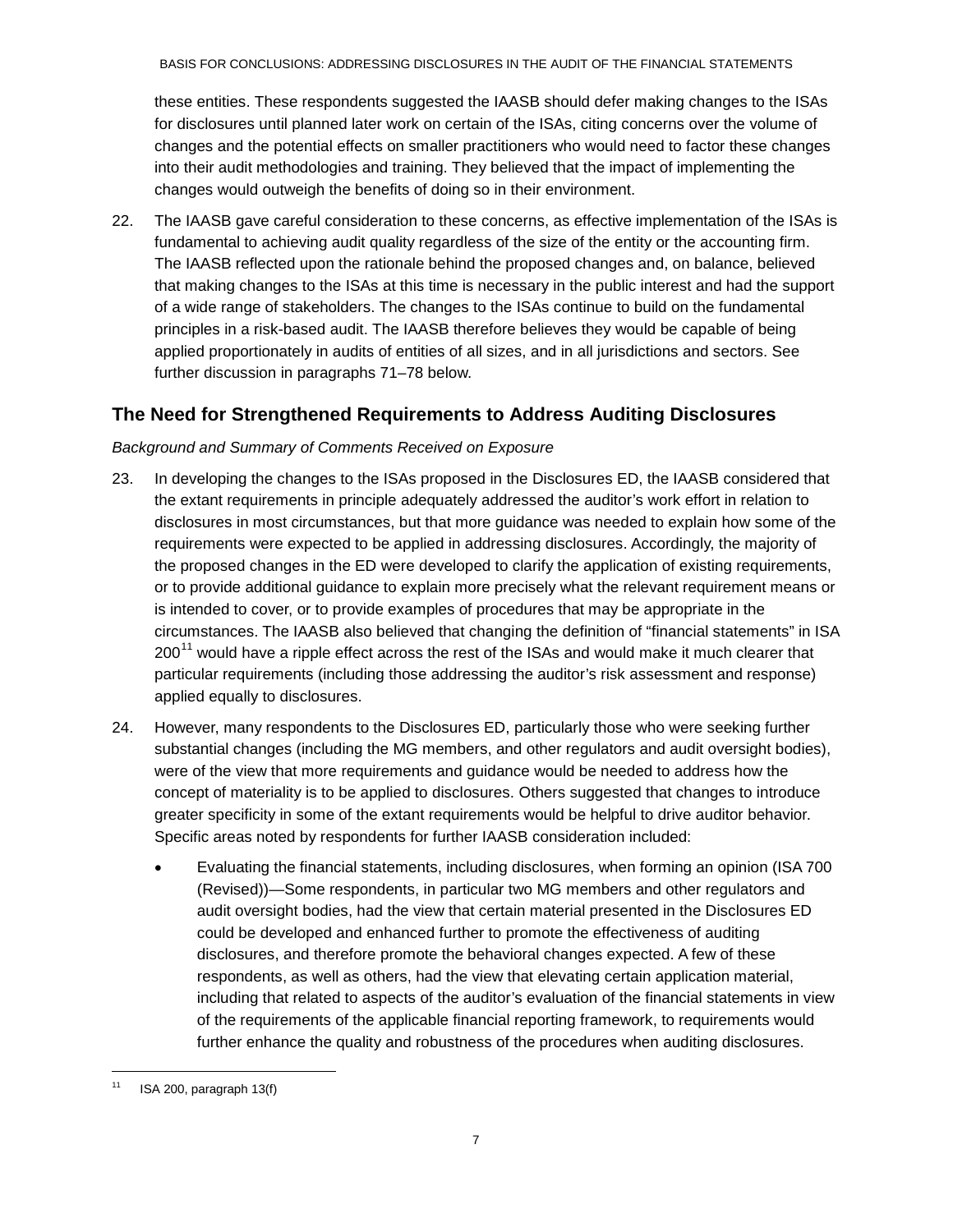these entities. These respondents suggested the IAASB should defer making changes to the ISAs for disclosures until planned later work on certain of the ISAs, citing concerns over the volume of changes and the potential effects on smaller practitioners who would need to factor these changes into their audit methodologies and training. They believed that the impact of implementing the changes would outweigh the benefits of doing so in their environment.

22. The IAASB gave careful consideration to these concerns, as effective implementation of the ISAs is fundamental to achieving audit quality regardless of the size of the entity or the accounting firm. The IAASB reflected upon the rationale behind the proposed changes and, on balance, believed that making changes to the ISAs at this time is necessary in the public interest and had the support of a wide range of stakeholders. The changes to the ISAs continue to build on the fundamental principles in a risk-based audit. The IAASB therefore believes they would be capable of being applied proportionately in audits of entities of all sizes, and in all jurisdictions and sectors. See further discussion in paragraphs 71–78 below.

## **The Need for Strengthened Requirements to Address Auditing Disclosures**

#### *Background and Summary of Comments Received on Exposure*

- 23. In developing the changes to the ISAs proposed in the Disclosures ED, the IAASB considered that the extant requirements in principle adequately addressed the auditor's work effort in relation to disclosures in most circumstances, but that more guidance was needed to explain how some of the requirements were expected to be applied in addressing disclosures. Accordingly, the majority of the proposed changes in the ED were developed to clarify the application of existing requirements, or to provide additional guidance to explain more precisely what the relevant requirement means or is intended to cover, or to provide examples of procedures that may be appropriate in the circumstances. The IAASB also believed that changing the definition of "financial statements" in ISA  $200<sup>11</sup>$  $200<sup>11</sup>$  $200<sup>11</sup>$  would have a ripple effect across the rest of the ISAs and would make it much clearer that particular requirements (including those addressing the auditor's risk assessment and response) applied equally to disclosures.
- 24. However, many respondents to the Disclosures ED, particularly those who were seeking further substantial changes (including the MG members, and other regulators and audit oversight bodies), were of the view that more requirements and guidance would be needed to address how the concept of materiality is to be applied to disclosures. Others suggested that changes to introduce greater specificity in some of the extant requirements would be helpful to drive auditor behavior. Specific areas noted by respondents for further IAASB consideration included:
	- Evaluating the financial statements, including disclosures, when forming an opinion (ISA 700 (Revised))—Some respondents, in particular two MG members and other regulators and audit oversight bodies, had the view that certain material presented in the Disclosures ED could be developed and enhanced further to promote the effectiveness of auditing disclosures, and therefore promote the behavioral changes expected. A few of these respondents, as well as others, had the view that elevating certain application material, including that related to aspects of the auditor's evaluation of the financial statements in view of the requirements of the applicable financial reporting framework, to requirements would further enhance the quality and robustness of the procedures when auditing disclosures.

<span id="page-6-0"></span>ISA 200, paragraph 13(f)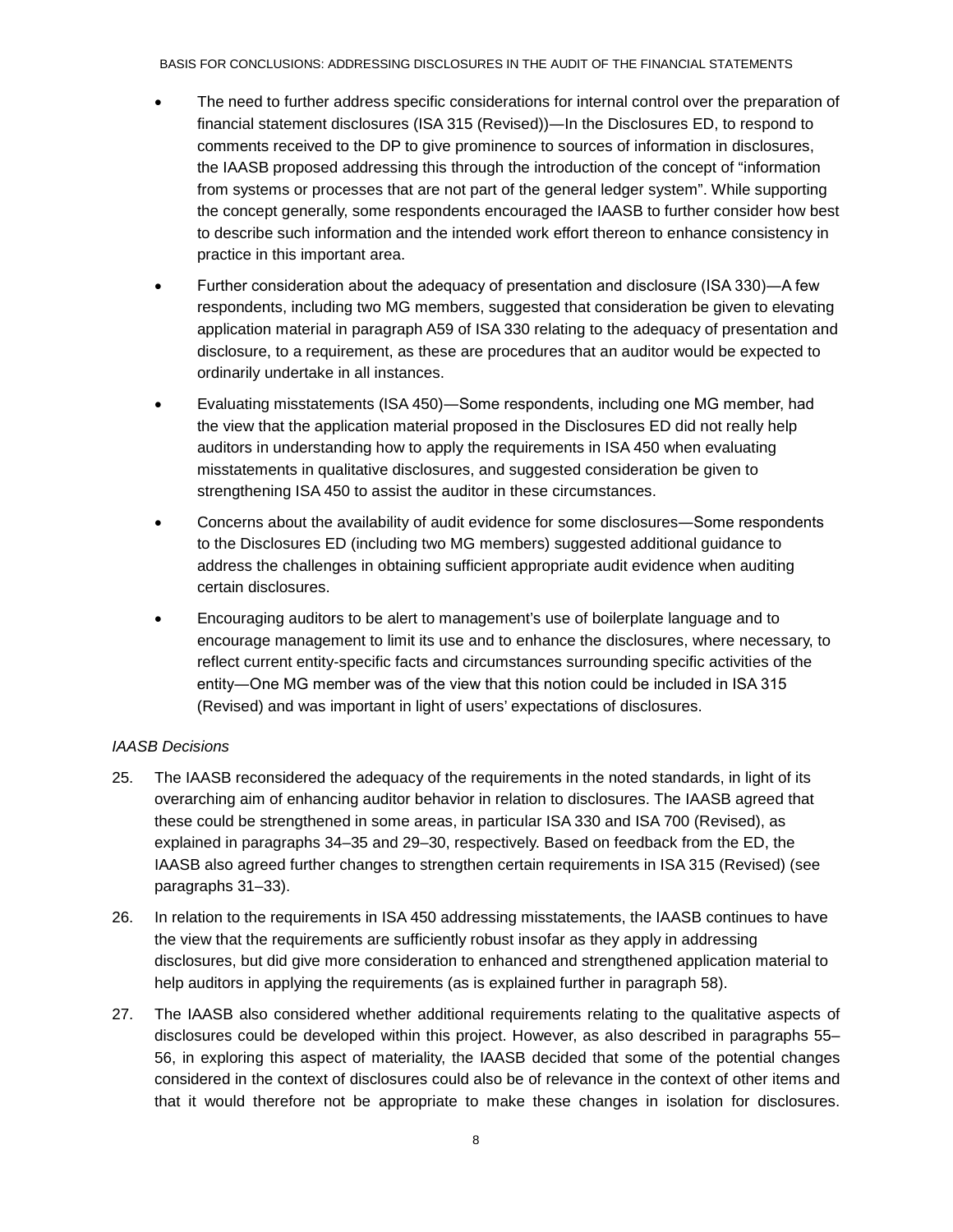- The need to further address specific considerations for internal control over the preparation of financial statement disclosures (ISA 315 (Revised))―In the Disclosures ED, to respond to comments received to the DP to give prominence to sources of information in disclosures, the IAASB proposed addressing this through the introduction of the concept of "information from systems or processes that are not part of the general ledger system". While supporting the concept generally, some respondents encouraged the IAASB to further consider how best to describe such information and the intended work effort thereon to enhance consistency in practice in this important area.
- Further consideration about the adequacy of presentation and disclosure (ISA 330)―A few respondents, including two MG members, suggested that consideration be given to elevating application material in paragraph A59 of ISA 330 relating to the adequacy of presentation and disclosure, to a requirement, as these are procedures that an auditor would be expected to ordinarily undertake in all instances.
- Evaluating misstatements (ISA 450)―Some respondents, including one MG member, had the view that the application material proposed in the Disclosures ED did not really help auditors in understanding how to apply the requirements in ISA 450 when evaluating misstatements in qualitative disclosures, and suggested consideration be given to strengthening ISA 450 to assist the auditor in these circumstances.
- Concerns about the availability of audit evidence for some disclosures—Some respondents to the Disclosures ED (including two MG members) suggested additional guidance to address the challenges in obtaining sufficient appropriate audit evidence when auditing certain disclosures.
- Encouraging auditors to be alert to management's use of boilerplate language and to encourage management to limit its use and to enhance the disclosures, where necessary, to reflect current entity-specific facts and circumstances surrounding specific activities of the entity―One MG member was of the view that this notion could be included in ISA 315 (Revised) and was important in light of users' expectations of disclosures.

#### *IAASB Decisions*

- 25. The IAASB reconsidered the adequacy of the requirements in the noted standards, in light of its overarching aim of enhancing auditor behavior in relation to disclosures. The IAASB agreed that these could be strengthened in some areas, in particular ISA 330 and ISA 700 (Revised), as explained in paragraphs 34–35 and 29–30, respectively. Based on feedback from the ED, the IAASB also agreed further changes to strengthen certain requirements in ISA 315 (Revised) (see paragraphs 31–33).
- 26. In relation to the requirements in ISA 450 addressing misstatements, the IAASB continues to have the view that the requirements are sufficiently robust insofar as they apply in addressing disclosures, but did give more consideration to enhanced and strengthened application material to help auditors in applying the requirements (as is explained further in paragraph 58).
- 27. The IAASB also considered whether additional requirements relating to the qualitative aspects of disclosures could be developed within this project. However, as also described in paragraphs 55– 56, in exploring this aspect of materiality, the IAASB decided that some of the potential changes considered in the context of disclosures could also be of relevance in the context of other items and that it would therefore not be appropriate to make these changes in isolation for disclosures.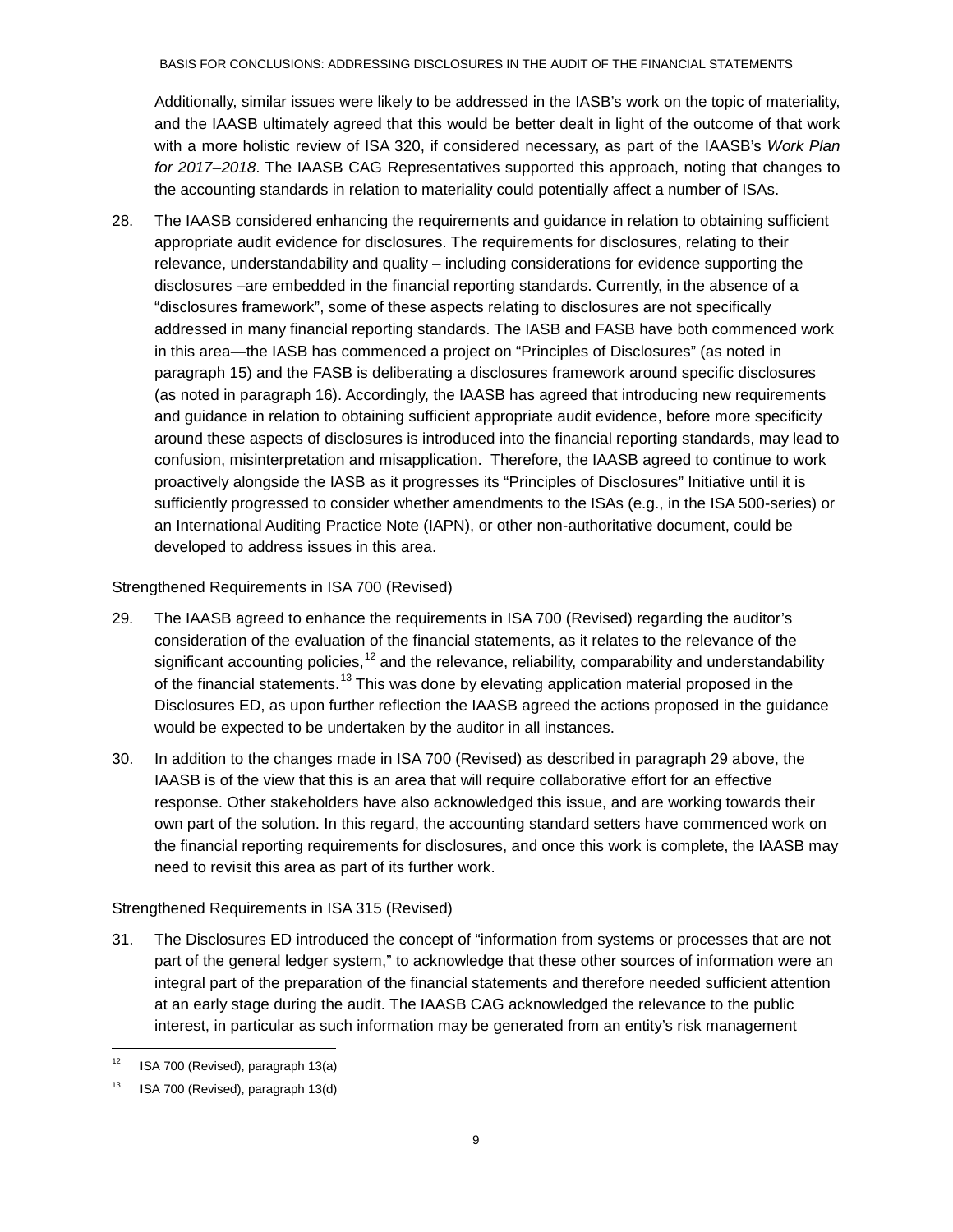Additionally, similar issues were likely to be addressed in the IASB's work on the topic of materiality, and the IAASB ultimately agreed that this would be better dealt in light of the outcome of that work with a more holistic review of ISA 320, if considered necessary, as part of the IAASB's *Work Plan for 2017–2018*. The IAASB CAG Representatives supported this approach, noting that changes to the accounting standards in relation to materiality could potentially affect a number of ISAs.

28. The IAASB considered enhancing the requirements and guidance in relation to obtaining sufficient appropriate audit evidence for disclosures. The requirements for disclosures, relating to their relevance, understandability and quality – including considerations for evidence supporting the disclosures –are embedded in the financial reporting standards. Currently, in the absence of a "disclosures framework", some of these aspects relating to disclosures are not specifically addressed in many financial reporting standards. The IASB and FASB have both commenced work in this area—the IASB has commenced a project on "Principles of Disclosures" (as noted in paragraph 15) and the FASB is deliberating a disclosures framework around specific disclosures (as noted in paragraph 16). Accordingly, the IAASB has agreed that introducing new requirements and guidance in relation to obtaining sufficient appropriate audit evidence, before more specificity around these aspects of disclosures is introduced into the financial reporting standards, may lead to confusion, misinterpretation and misapplication. Therefore, the IAASB agreed to continue to work proactively alongside the IASB as it progresses its "Principles of Disclosures" Initiative until it is sufficiently progressed to consider whether amendments to the ISAs (e.g., in the ISA 500-series) or an International Auditing Practice Note (IAPN), or other non-authoritative document, could be developed to address issues in this area.

#### Strengthened Requirements in ISA 700 (Revised)

- 29. The IAASB agreed to enhance the requirements in ISA 700 (Revised) regarding the auditor's consideration of the evaluation of the financial statements, as it relates to the relevance of the significant accounting policies,  $12$  and the relevance, reliability, comparability and understandability of the financial statements.<sup>[13](#page-8-1)</sup> This was done by elevating application material proposed in the Disclosures ED, as upon further reflection the IAASB agreed the actions proposed in the guidance would be expected to be undertaken by the auditor in all instances.
- 30. In addition to the changes made in ISA 700 (Revised) as described in paragraph 29 above, the IAASB is of the view that this is an area that will require collaborative effort for an effective response. Other stakeholders have also acknowledged this issue, and are working towards their own part of the solution. In this regard, the accounting standard setters have commenced work on the financial reporting requirements for disclosures, and once this work is complete, the IAASB may need to revisit this area as part of its further work.

#### Strengthened Requirements in ISA 315 (Revised)

31. The Disclosures ED introduced the concept of "information from systems or processes that are not part of the general ledger system," to acknowledge that these other sources of information were an integral part of the preparation of the financial statements and therefore needed sufficient attention at an early stage during the audit. The IAASB CAG acknowledged the relevance to the public interest, in particular as such information may be generated from an entity's risk management

<span id="page-8-0"></span> $12$  ISA 700 (Revised), paragraph 13(a)

<span id="page-8-1"></span> $13$  ISA 700 (Revised), paragraph 13(d)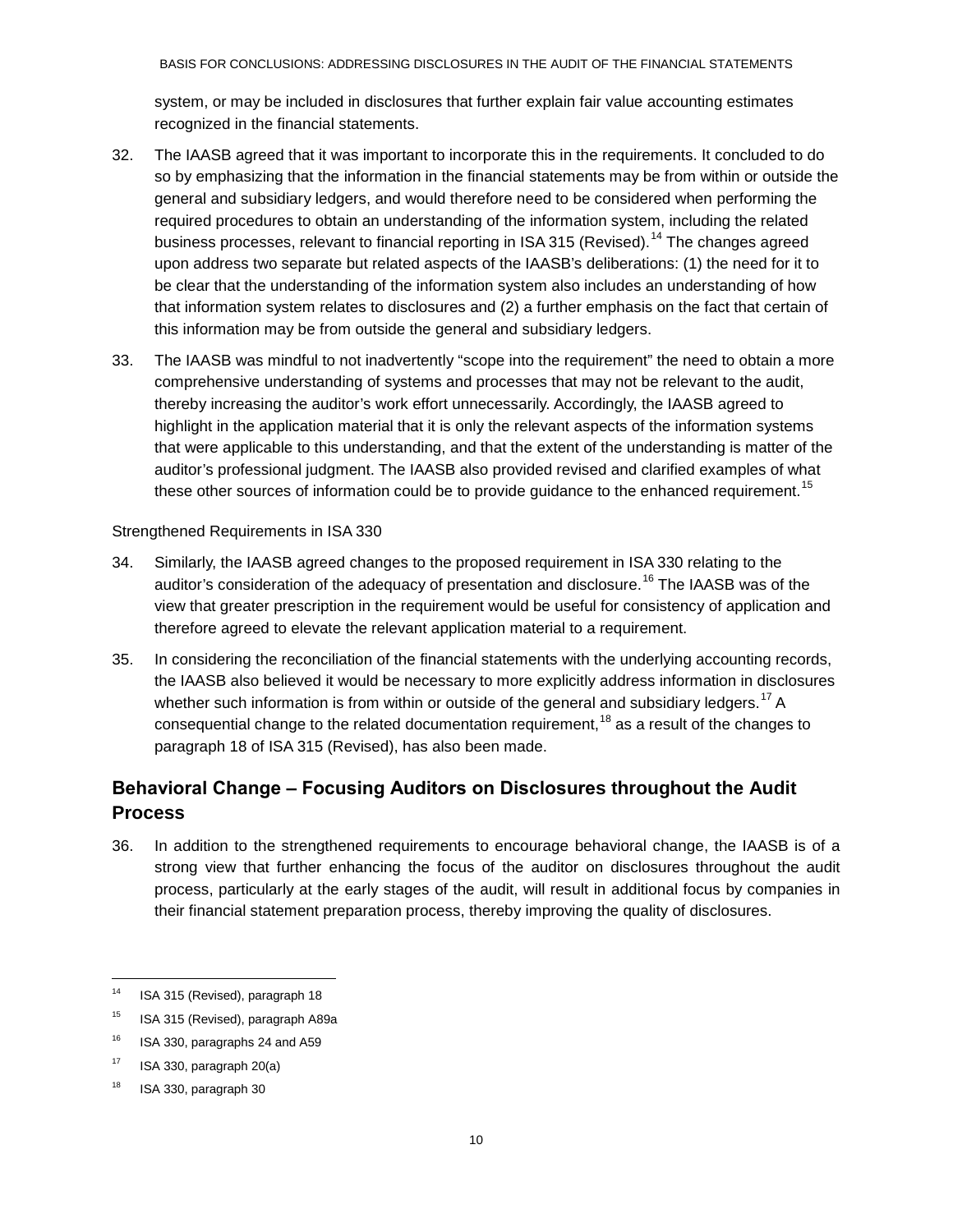system, or may be included in disclosures that further explain fair value accounting estimates recognized in the financial statements.

- 32. The IAASB agreed that it was important to incorporate this in the requirements. It concluded to do so by emphasizing that the information in the financial statements may be from within or outside the general and subsidiary ledgers, and would therefore need to be considered when performing the required procedures to obtain an understanding of the information system, including the related business processes, relevant to financial reporting in ISA 315 (Revised).<sup>[14](#page-9-0)</sup> The changes agreed upon address two separate but related aspects of the IAASB's deliberations: (1) the need for it to be clear that the understanding of the information system also includes an understanding of how that information system relates to disclosures and (2) a further emphasis on the fact that certain of this information may be from outside the general and subsidiary ledgers.
- 33. The IAASB was mindful to not inadvertently "scope into the requirement" the need to obtain a more comprehensive understanding of systems and processes that may not be relevant to the audit, thereby increasing the auditor's work effort unnecessarily. Accordingly, the IAASB agreed to highlight in the application material that it is only the relevant aspects of the information systems that were applicable to this understanding, and that the extent of the understanding is matter of the auditor's professional judgment. The IAASB also provided revised and clarified examples of what these other sources of information could be to provide guidance to the enhanced requirement.<sup>[15](#page-9-1)</sup>

#### Strengthened Requirements in ISA 330

- 34. Similarly, the IAASB agreed changes to the proposed requirement in ISA 330 relating to the auditor's consideration of the adequacy of presentation and disclosure.<sup>[16](#page-9-2)</sup> The IAASB was of the view that greater prescription in the requirement would be useful for consistency of application and therefore agreed to elevate the relevant application material to a requirement.
- 35. In considering the reconciliation of the financial statements with the underlying accounting records, the IAASB also believed it would be necessary to more explicitly address information in disclosures whether such information is from within or outside of the general and subsidiary ledgers.<sup>[17](#page-9-3)</sup> A consequential change to the related documentation requirement,  $18$  as a result of the changes to paragraph 18 of ISA 315 (Revised), has also been made.

## **Behavioral Change ‒ Focusing Auditors on Disclosures throughout the Audit Process**

36. In addition to the strengthened requirements to encourage behavioral change, the IAASB is of a strong view that further enhancing the focus of the auditor on disclosures throughout the audit process, particularly at the early stages of the audit, will result in additional focus by companies in their financial statement preparation process, thereby improving the quality of disclosures.

<span id="page-9-0"></span><sup>&</sup>lt;sup>14</sup> ISA 315 (Revised), paragraph 18

<span id="page-9-1"></span><sup>&</sup>lt;sup>15</sup> ISA 315 (Revised), paragraph A89a

<span id="page-9-2"></span> $16$  ISA 330, paragraphs 24 and A59

<span id="page-9-3"></span> $17$  ISA 330, paragraph 20(a)

<span id="page-9-4"></span> $18$  ISA 330, paragraph 30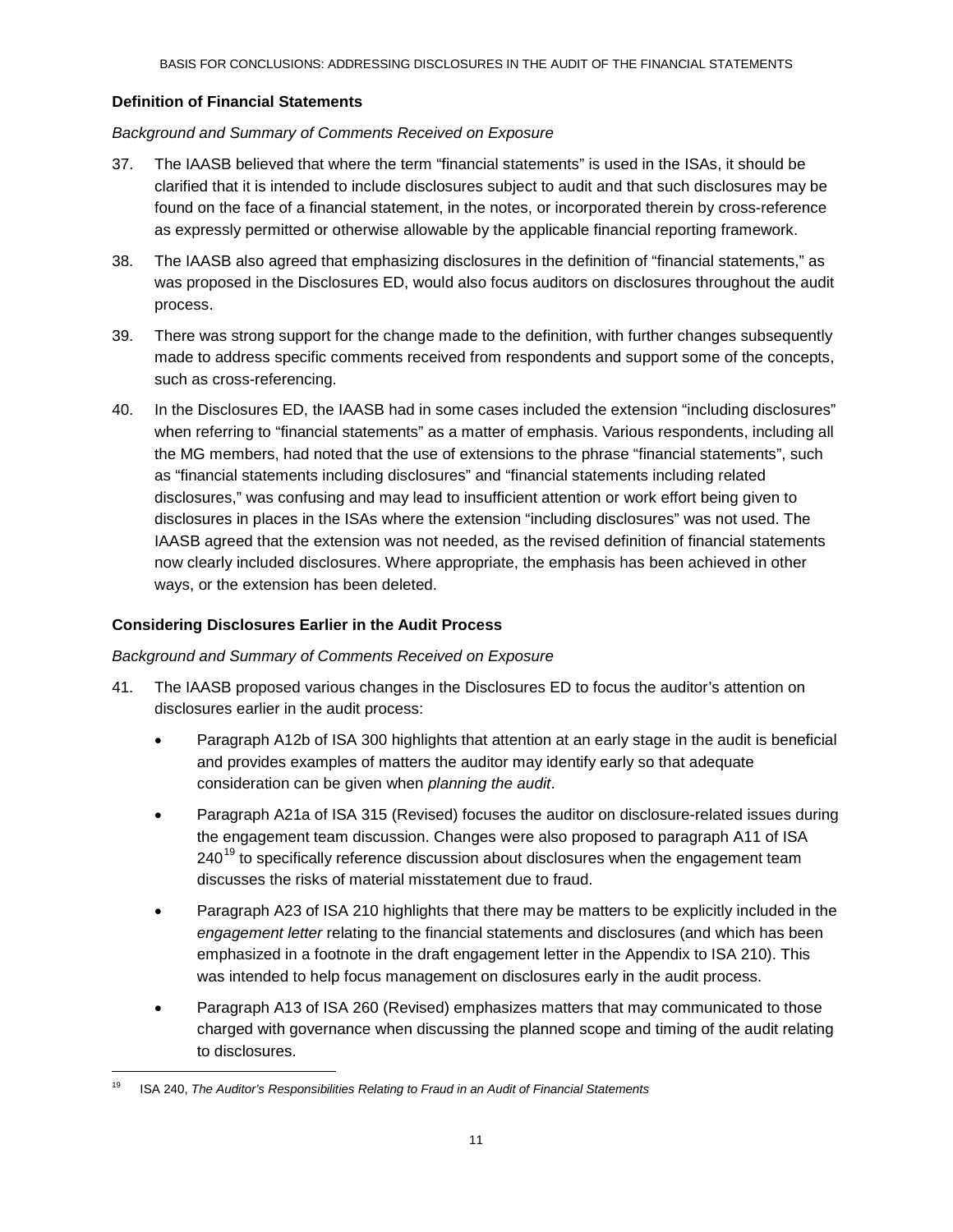#### **Definition of Financial Statements**

#### *Background and Summary of Comments Received on Exposure*

- 37. The IAASB believed that where the term "financial statements" is used in the ISAs, it should be clarified that it is intended to include disclosures subject to audit and that such disclosures may be found on the face of a financial statement, in the notes, or incorporated therein by cross-reference as expressly permitted or otherwise allowable by the applicable financial reporting framework.
- 38. The IAASB also agreed that emphasizing disclosures in the definition of "financial statements," as was proposed in the Disclosures ED, would also focus auditors on disclosures throughout the audit process.
- 39. There was strong support for the change made to the definition, with further changes subsequently made to address specific comments received from respondents and support some of the concepts, such as cross-referencing.
- 40. In the Disclosures ED, the IAASB had in some cases included the extension "including disclosures" when referring to "financial statements" as a matter of emphasis. Various respondents, including all the MG members, had noted that the use of extensions to the phrase "financial statements", such as "financial statements including disclosures" and "financial statements including related disclosures," was confusing and may lead to insufficient attention or work effort being given to disclosures in places in the ISAs where the extension "including disclosures" was not used. The IAASB agreed that the extension was not needed, as the revised definition of financial statements now clearly included disclosures. Where appropriate, the emphasis has been achieved in other ways, or the extension has been deleted.

#### **Considering Disclosures Earlier in the Audit Process**

#### *Background and Summary of Comments Received on Exposure*

- 41. The IAASB proposed various changes in the Disclosures ED to focus the auditor's attention on disclosures earlier in the audit process:
	- Paragraph A12b of ISA 300 highlights that attention at an early stage in the audit is beneficial and provides examples of matters the auditor may identify early so that adequate consideration can be given when *planning the audit*.
	- Paragraph A21a of ISA 315 (Revised) focuses the auditor on disclosure-related issues during the engagement team discussion. Changes were also proposed to paragraph A11 of ISA  $240^{19}$  $240^{19}$  $240^{19}$  to specifically reference discussion about disclosures when the engagement team discusses the risks of material misstatement due to fraud.
	- Paragraph A23 of ISA 210 highlights that there may be matters to be explicitly included in the *engagement letter* relating to the financial statements and disclosures (and which has been emphasized in a footnote in the draft engagement letter in the Appendix to ISA 210). This was intended to help focus management on disclosures early in the audit process.
	- Paragraph A13 of ISA 260 (Revised) emphasizes matters that may communicated to those charged with governance when discussing the planned scope and timing of the audit relating to disclosures.

<span id="page-10-0"></span><sup>19</sup> ISA 240, *The Auditor's Responsibilities Relating to Fraud in an Audit of Financial Statements*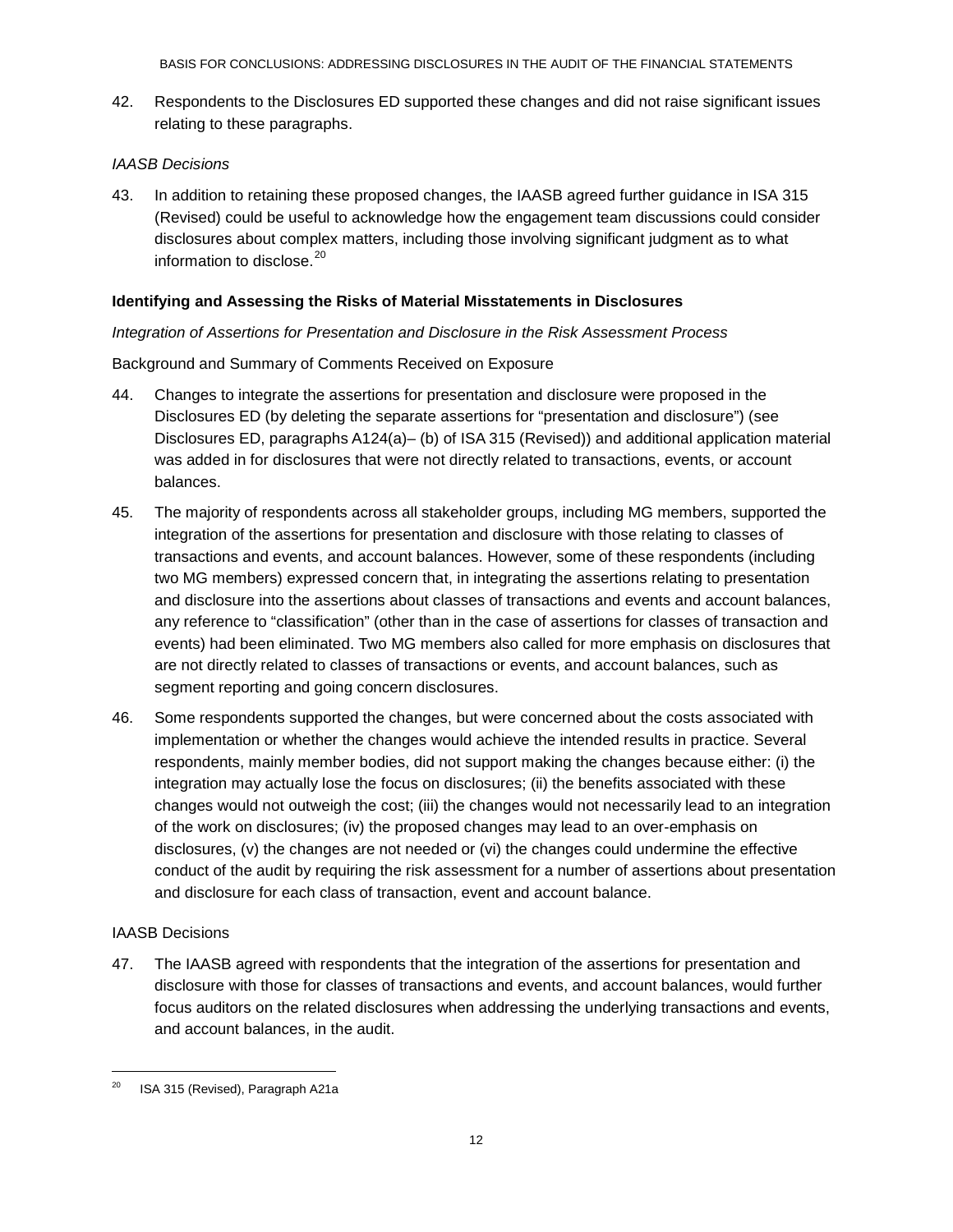42. Respondents to the Disclosures ED supported these changes and did not raise significant issues relating to these paragraphs.

#### *IAASB Decisions*

43. In addition to retaining these proposed changes, the IAASB agreed further guidance in ISA 315 (Revised) could be useful to acknowledge how the engagement team discussions could consider disclosures about complex matters, including those involving significant judgment as to what information to disclose.[20](#page-11-0)

#### **Identifying and Assessing the Risks of Material Misstatements in Disclosures**

#### *Integration of Assertions for Presentation and Disclosure in the Risk Assessment Process*

Background and Summary of Comments Received on Exposure

- 44. Changes to integrate the assertions for presentation and disclosure were proposed in the Disclosures ED (by deleting the separate assertions for "presentation and disclosure") (see Disclosures ED, paragraphs A124(a)– (b) of ISA 315 (Revised)) and additional application material was added in for disclosures that were not directly related to transactions, events, or account balances.
- 45. The majority of respondents across all stakeholder groups, including MG members, supported the integration of the assertions for presentation and disclosure with those relating to classes of transactions and events, and account balances. However, some of these respondents (including two MG members) expressed concern that, in integrating the assertions relating to presentation and disclosure into the assertions about classes of transactions and events and account balances, any reference to "classification" (other than in the case of assertions for classes of transaction and events) had been eliminated. Two MG members also called for more emphasis on disclosures that are not directly related to classes of transactions or events, and account balances, such as segment reporting and going concern disclosures.
- 46. Some respondents supported the changes, but were concerned about the costs associated with implementation or whether the changes would achieve the intended results in practice. Several respondents, mainly member bodies, did not support making the changes because either: (i) the integration may actually lose the focus on disclosures; (ii) the benefits associated with these changes would not outweigh the cost; (iii) the changes would not necessarily lead to an integration of the work on disclosures; (iv) the proposed changes may lead to an over-emphasis on disclosures, (v) the changes are not needed or (vi) the changes could undermine the effective conduct of the audit by requiring the risk assessment for a number of assertions about presentation and disclosure for each class of transaction, event and account balance.

#### IAASB Decisions

j

47. The IAASB agreed with respondents that the integration of the assertions for presentation and disclosure with those for classes of transactions and events, and account balances, would further focus auditors on the related disclosures when addressing the underlying transactions and events, and account balances, in the audit.

<span id="page-11-0"></span>ISA 315 (Revised), Paragraph A21a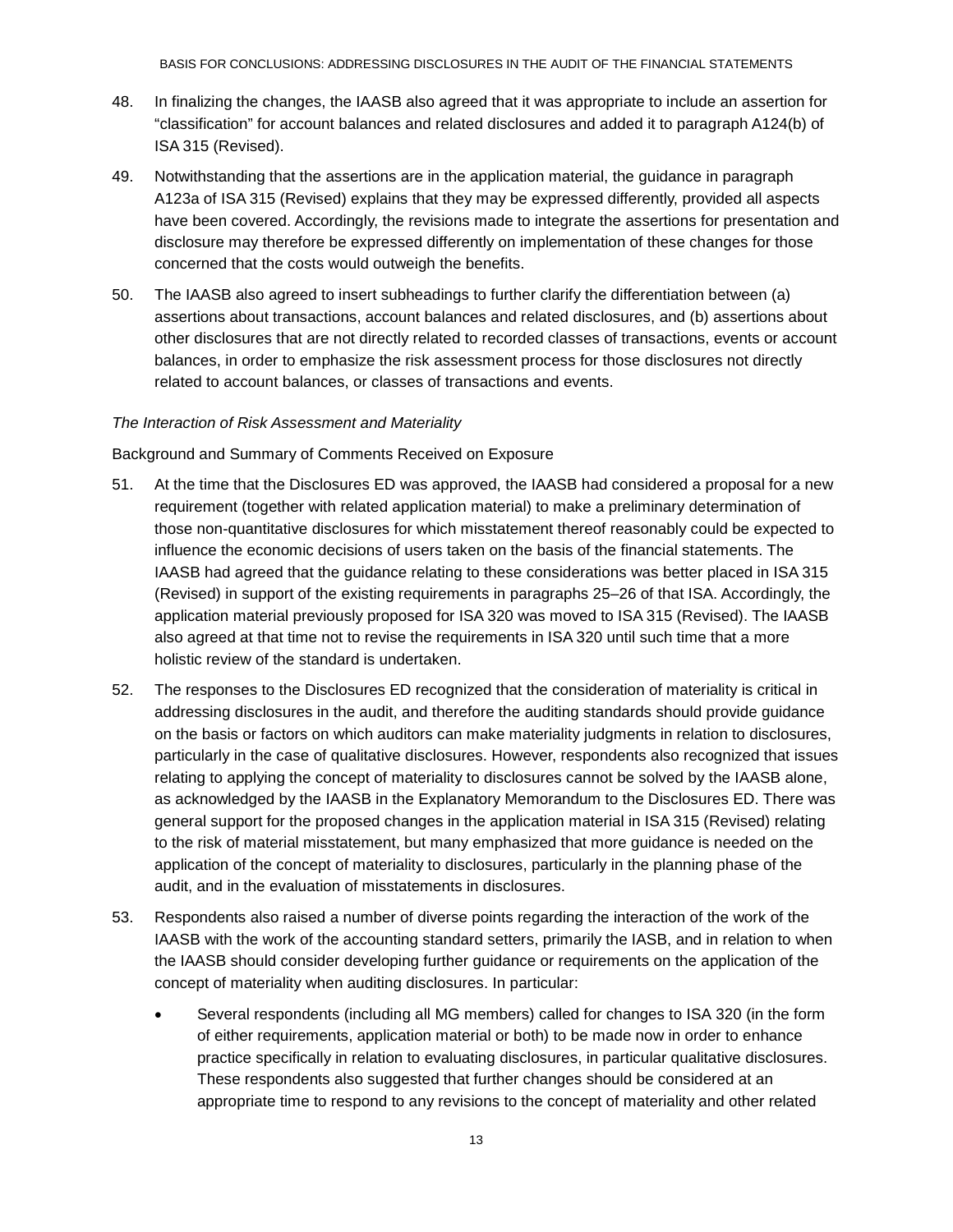- 48. In finalizing the changes, the IAASB also agreed that it was appropriate to include an assertion for "classification" for account balances and related disclosures and added it to paragraph A124(b) of ISA 315 (Revised).
- 49. Notwithstanding that the assertions are in the application material, the guidance in paragraph A123a of ISA 315 (Revised) explains that they may be expressed differently, provided all aspects have been covered. Accordingly, the revisions made to integrate the assertions for presentation and disclosure may therefore be expressed differently on implementation of these changes for those concerned that the costs would outweigh the benefits.
- 50. The IAASB also agreed to insert subheadings to further clarify the differentiation between (a) assertions about transactions, account balances and related disclosures, and (b) assertions about other disclosures that are not directly related to recorded classes of transactions, events or account balances, in order to emphasize the risk assessment process for those disclosures not directly related to account balances, or classes of transactions and events.

#### *The Interaction of Risk Assessment and Materiality*

Background and Summary of Comments Received on Exposure

- 51. At the time that the Disclosures ED was approved, the IAASB had considered a proposal for a new requirement (together with related application material) to make a preliminary determination of those non-quantitative disclosures for which misstatement thereof reasonably could be expected to influence the economic decisions of users taken on the basis of the financial statements. The IAASB had agreed that the guidance relating to these considerations was better placed in ISA 315 (Revised) in support of the existing requirements in paragraphs 25–26 of that ISA. Accordingly, the application material previously proposed for ISA 320 was moved to ISA 315 (Revised). The IAASB also agreed at that time not to revise the requirements in ISA 320 until such time that a more holistic review of the standard is undertaken.
- 52. The responses to the Disclosures ED recognized that the consideration of materiality is critical in addressing disclosures in the audit, and therefore the auditing standards should provide guidance on the basis or factors on which auditors can make materiality judgments in relation to disclosures, particularly in the case of qualitative disclosures. However, respondents also recognized that issues relating to applying the concept of materiality to disclosures cannot be solved by the IAASB alone, as acknowledged by the IAASB in the Explanatory Memorandum to the Disclosures ED. There was general support for the proposed changes in the application material in ISA 315 (Revised) relating to the risk of material misstatement, but many emphasized that more guidance is needed on the application of the concept of materiality to disclosures, particularly in the planning phase of the audit, and in the evaluation of misstatements in disclosures.
- 53. Respondents also raised a number of diverse points regarding the interaction of the work of the IAASB with the work of the accounting standard setters, primarily the IASB, and in relation to when the IAASB should consider developing further guidance or requirements on the application of the concept of materiality when auditing disclosures. In particular:
	- Several respondents (including all MG members) called for changes to ISA 320 (in the form of either requirements, application material or both) to be made now in order to enhance practice specifically in relation to evaluating disclosures, in particular qualitative disclosures. These respondents also suggested that further changes should be considered at an appropriate time to respond to any revisions to the concept of materiality and other related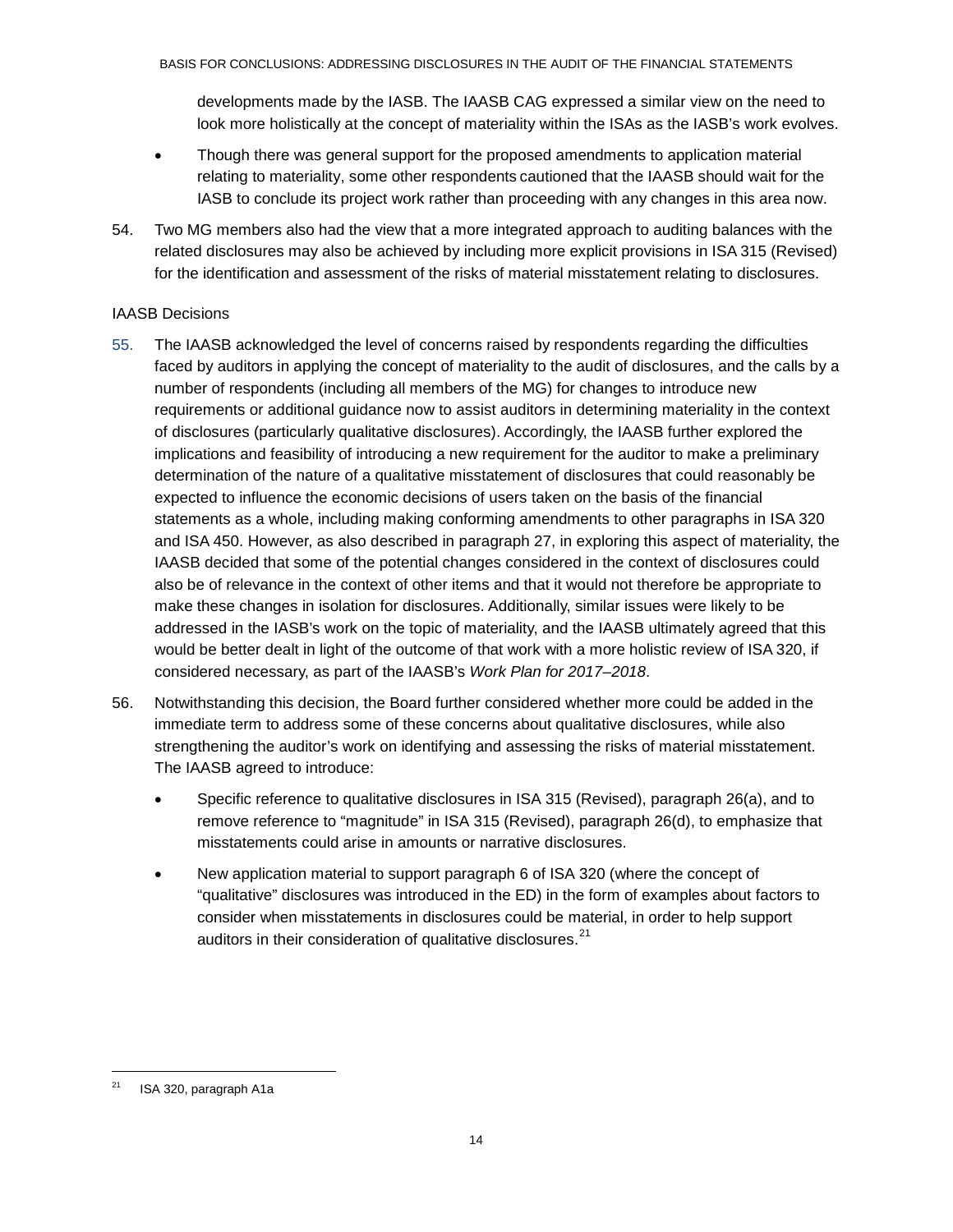developments made by the IASB. The IAASB CAG expressed a similar view on the need to look more holistically at the concept of materiality within the ISAs as the IASB's work evolves.

- Though there was general support for the proposed amendments to application material relating to materiality, some other respondents cautioned that the IAASB should wait for the IASB to conclude its project work rather than proceeding with any changes in this area now.
- 54. Two MG members also had the view that a more integrated approach to auditing balances with the related disclosures may also be achieved by including more explicit provisions in ISA 315 (Revised) for the identification and assessment of the risks of material misstatement relating to disclosures.

#### IAASB Decisions

- 55. The IAASB acknowledged the level of concerns raised by respondents regarding the difficulties faced by auditors in applying the concept of materiality to the audit of disclosures, and the calls by a number of respondents (including all members of the MG) for changes to introduce new requirements or additional guidance now to assist auditors in determining materiality in the context of disclosures (particularly qualitative disclosures). Accordingly, the IAASB further explored the implications and feasibility of introducing a new requirement for the auditor to make a preliminary determination of the nature of a qualitative misstatement of disclosures that could reasonably be expected to influence the economic decisions of users taken on the basis of the financial statements as a whole, including making conforming amendments to other paragraphs in ISA 320 and ISA 450. However, as also described in paragraph 27, in exploring this aspect of materiality, the IAASB decided that some of the potential changes considered in the context of disclosures could also be of relevance in the context of other items and that it would not therefore be appropriate to make these changes in isolation for disclosures. Additionally, similar issues were likely to be addressed in the IASB's work on the topic of materiality, and the IAASB ultimately agreed that this would be better dealt in light of the outcome of that work with a more holistic review of ISA 320, if considered necessary, as part of the IAASB's *Work Plan for 2017–2018*.
- 56. Notwithstanding this decision, the Board further considered whether more could be added in the immediate term to address some of these concerns about qualitative disclosures, while also strengthening the auditor's work on identifying and assessing the risks of material misstatement. The IAASB agreed to introduce:
	- Specific reference to qualitative disclosures in ISA 315 (Revised), paragraph 26(a), and to remove reference to "magnitude" in ISA 315 (Revised), paragraph 26(d), to emphasize that misstatements could arise in amounts or narrative disclosures.
	- New application material to support paragraph 6 of ISA 320 (where the concept of "qualitative" disclosures was introduced in the ED) in the form of examples about factors to consider when misstatements in disclosures could be material, in order to help support auditors in their consideration of qualitative disclosures.<sup>[21](#page-13-0)</sup>

<span id="page-13-0"></span><sup>21</sup> ISA 320, paragraph A1a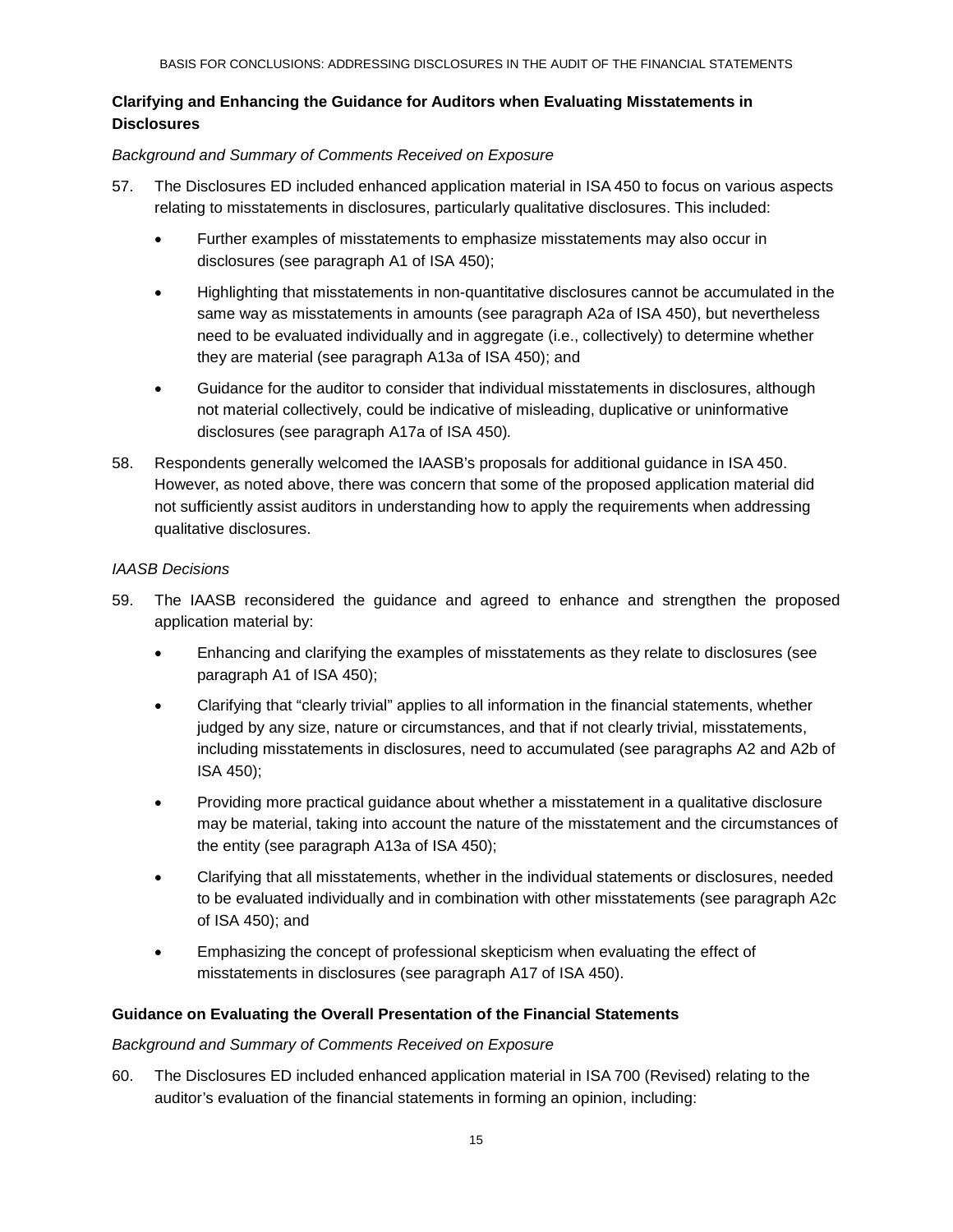#### **Clarifying and Enhancing the Guidance for Auditors when Evaluating Misstatements in Disclosures**

#### *Background and Summary of Comments Received on Exposure*

- 57. The Disclosures ED included enhanced application material in ISA 450 to focus on various aspects relating to misstatements in disclosures, particularly qualitative disclosures. This included:
	- Further examples of misstatements to emphasize misstatements may also occur in disclosures (see paragraph A1 of ISA 450);
	- Highlighting that misstatements in non-quantitative disclosures cannot be accumulated in the same way as misstatements in amounts (see paragraph A2a of ISA 450), but nevertheless need to be evaluated individually and in aggregate (i.e., collectively) to determine whether they are material (see paragraph A13a of ISA 450); and
	- Guidance for the auditor to consider that individual misstatements in disclosures, although not material collectively, could be indicative of misleading, duplicative or uninformative disclosures (see paragraph A17a of ISA 450)*.*
- 58. Respondents generally welcomed the IAASB's proposals for additional guidance in ISA 450. However, as noted above, there was concern that some of the proposed application material did not sufficiently assist auditors in understanding how to apply the requirements when addressing qualitative disclosures.

#### *IAASB Decisions*

- 59. The IAASB reconsidered the guidance and agreed to enhance and strengthen the proposed application material by:
	- Enhancing and clarifying the examples of misstatements as they relate to disclosures (see paragraph A1 of ISA 450);
	- Clarifying that "clearly trivial" applies to all information in the financial statements, whether judged by any size, nature or circumstances, and that if not clearly trivial, misstatements, including misstatements in disclosures, need to accumulated (see paragraphs A2 and A2b of ISA 450);
	- Providing more practical guidance about whether a misstatement in a qualitative disclosure may be material, taking into account the nature of the misstatement and the circumstances of the entity (see paragraph A13a of ISA 450);
	- Clarifying that all misstatements, whether in the individual statements or disclosures, needed to be evaluated individually and in combination with other misstatements (see paragraph A2c of ISA 450); and
	- Emphasizing the concept of professional skepticism when evaluating the effect of misstatements in disclosures (see paragraph A17 of ISA 450).

#### **Guidance on Evaluating the Overall Presentation of the Financial Statements**

#### *Background and Summary of Comments Received on Exposure*

60. The Disclosures ED included enhanced application material in ISA 700 (Revised) relating to the auditor's evaluation of the financial statements in forming an opinion, including: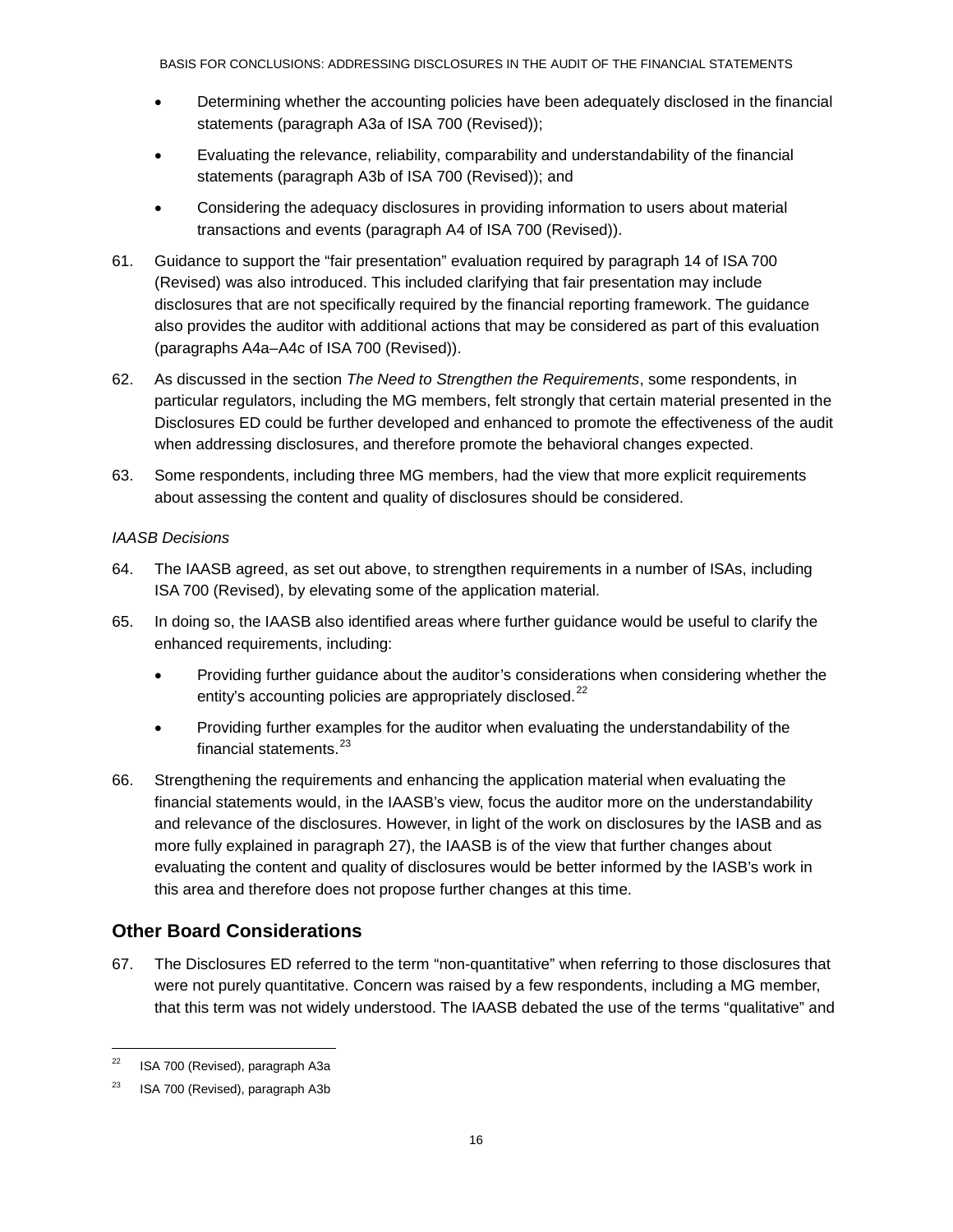- Determining whether the accounting policies have been adequately disclosed in the financial statements (paragraph A3a of ISA 700 (Revised));
- Evaluating the relevance, reliability, comparability and understandability of the financial statements (paragraph A3b of ISA 700 (Revised)); and
- Considering the adequacy disclosures in providing information to users about material transactions and events (paragraph A4 of ISA 700 (Revised)).
- 61. Guidance to support the "fair presentation" evaluation required by paragraph 14 of ISA 700 (Revised) was also introduced. This included clarifying that fair presentation may include disclosures that are not specifically required by the financial reporting framework. The guidance also provides the auditor with additional actions that may be considered as part of this evaluation (paragraphs A4a–A4c of ISA 700 (Revised)).
- 62. As discussed in the section *The Need to Strengthen the Requirements*, some respondents, in particular regulators, including the MG members, felt strongly that certain material presented in the Disclosures ED could be further developed and enhanced to promote the effectiveness of the audit when addressing disclosures, and therefore promote the behavioral changes expected.
- 63. Some respondents, including three MG members, had the view that more explicit requirements about assessing the content and quality of disclosures should be considered.

#### *IAASB Decisions*

- 64. The IAASB agreed, as set out above, to strengthen requirements in a number of ISAs, including ISA 700 (Revised), by elevating some of the application material.
- 65. In doing so, the IAASB also identified areas where further guidance would be useful to clarify the enhanced requirements, including:
	- Providing further guidance about the auditor's considerations when considering whether the entity's accounting policies are appropriately disclosed.<sup>[22](#page-15-0)</sup>
	- Providing further examples for the auditor when evaluating the understandability of the financial statements.<sup>[23](#page-15-1)</sup>
- 66. Strengthening the requirements and enhancing the application material when evaluating the financial statements would, in the IAASB's view, focus the auditor more on the understandability and relevance of the disclosures. However, in light of the work on disclosures by the IASB and as more fully explained in paragraph 27), the IAASB is of the view that further changes about evaluating the content and quality of disclosures would be better informed by the IASB's work in this area and therefore does not propose further changes at this time.

## **Other Board Considerations**

67. The Disclosures ED referred to the term "non-quantitative" when referring to those disclosures that were not purely quantitative. Concern was raised by a few respondents, including a MG member, that this term was not widely understood. The IAASB debated the use of the terms "qualitative" and

<span id="page-15-0"></span> $22$  ISA 700 (Revised), paragraph A3a

<span id="page-15-1"></span><sup>&</sup>lt;sup>23</sup> ISA 700 (Revised), paragraph A3b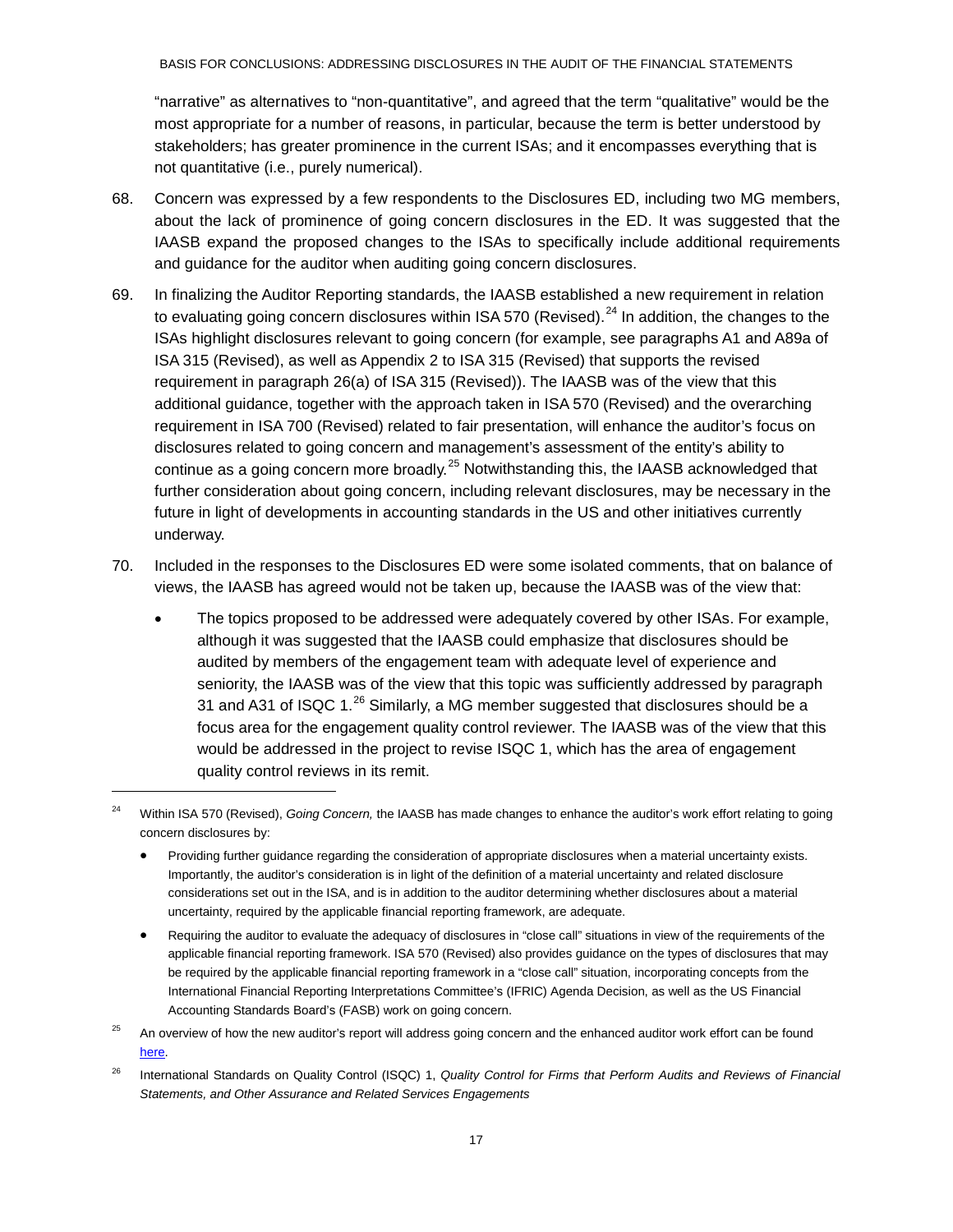"narrative" as alternatives to "non-quantitative", and agreed that the term "qualitative" would be the most appropriate for a number of reasons, in particular, because the term is better understood by stakeholders; has greater prominence in the current ISAs; and it encompasses everything that is not quantitative (i.e., purely numerical).

- 68. Concern was expressed by a few respondents to the Disclosures ED, including two MG members, about the lack of prominence of going concern disclosures in the ED. It was suggested that the IAASB expand the proposed changes to the ISAs to specifically include additional requirements and guidance for the auditor when auditing going concern disclosures.
- 69. In finalizing the Auditor Reporting standards, the IAASB established a new requirement in relation to evaluating going concern disclosures within ISA 570 (Revised).<sup>[24](#page-16-0)</sup> In addition, the changes to the ISAs highlight disclosures relevant to going concern (for example, see paragraphs A1 and A89a of ISA 315 (Revised), as well as Appendix 2 to ISA 315 (Revised) that supports the revised requirement in paragraph 26(a) of ISA 315 (Revised)). The IAASB was of the view that this additional guidance, together with the approach taken in ISA 570 (Revised) and the overarching requirement in ISA 700 (Revised) related to fair presentation, will enhance the auditor's focus on disclosures related to going concern and management's assessment of the entity's ability to continue as a going concern more broadly.<sup>[25](#page-16-1)</sup> Notwithstanding this, the IAASB acknowledged that further consideration about going concern, including relevant disclosures, may be necessary in the future in light of developments in accounting standards in the US and other initiatives currently underway.
- 70. Included in the responses to the Disclosures ED were some isolated comments, that on balance of views, the IAASB has agreed would not be taken up, because the IAASB was of the view that:
	- The topics proposed to be addressed were adequately covered by other ISAs. For example, although it was suggested that the IAASB could emphasize that disclosures should be audited by members of the engagement team with adequate level of experience and seniority, the IAASB was of the view that this topic was sufficiently addressed by paragraph 31 and A31 of ISQC  $1.^{26}$  $1.^{26}$  $1.^{26}$  Similarly, a MG member suggested that disclosures should be a focus area for the engagement quality control reviewer. The IAASB was of the view that this would be addressed in the project to revise ISQC 1, which has the area of engagement quality control reviews in its remit.

- Providing further guidance regarding the consideration of appropriate disclosures when a material uncertainty exists. Importantly, the auditor's consideration is in light of the definition of a material uncertainty and related disclosure considerations set out in the ISA, and is in addition to the auditor determining whether disclosures about a material uncertainty, required by the applicable financial reporting framework, are adequate.
- Requiring the auditor to evaluate the adequacy of disclosures in "close call" situations in view of the requirements of the applicable financial reporting framework. ISA 570 (Revised) also provides guidance on the types of disclosures that may be required by the applicable financial reporting framework in a "close call" situation, incorporating concepts from the International Financial Reporting Interpretations Committee's (IFRIC) Agenda Decision, as well as the US Financial Accounting Standards Board's (FASB) work on going concern.
- <span id="page-16-1"></span><sup>25</sup> An overview of how the new auditor's report will address going concern and the enhanced auditor work effort can be found [here.](https://www.ifac.org/system/files/publications/files/Auditor-Reporting-Toolkit-Going-Concern.pdf)
- <span id="page-16-2"></span><sup>26</sup> International Standards on Quality Control (ISQC) 1, *Quality Control for Firms that Perform Audits and Reviews of Financial Statements, and Other Assurance and Related Services Engagements*

<span id="page-16-0"></span><sup>24</sup> Within ISA 570 (Revised), *Going Concern,* the IAASB has made changes to enhance the auditor's work effort relating to going concern disclosures by: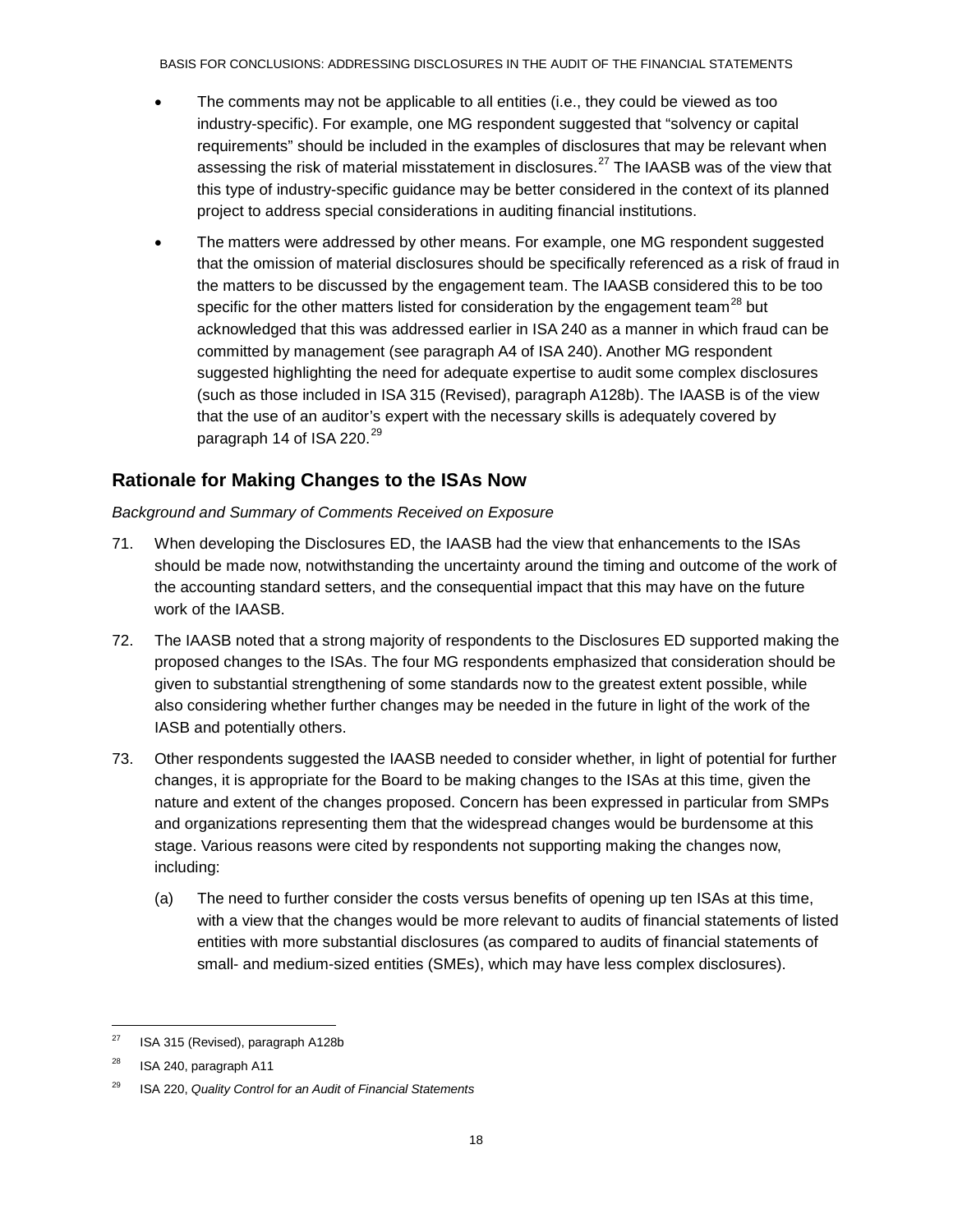- The comments may not be applicable to all entities (i.e., they could be viewed as too industry-specific). For example, one MG respondent suggested that "solvency or capital requirements" should be included in the examples of disclosures that may be relevant when assessing the risk of material misstatement in disclosures.<sup>[27](#page-17-0)</sup> The IAASB was of the view that this type of industry-specific guidance may be better considered in the context of its planned project to address special considerations in auditing financial institutions.
- The matters were addressed by other means. For example, one MG respondent suggested that the omission of material disclosures should be specifically referenced as a risk of fraud in the matters to be discussed by the engagement team. The IAASB considered this to be too specific for the other matters listed for consideration by the engagement team<sup>[28](#page-17-1)</sup> but acknowledged that this was addressed earlier in ISA 240 as a manner in which fraud can be committed by management (see paragraph A4 of ISA 240). Another MG respondent suggested highlighting the need for adequate expertise to audit some complex disclosures (such as those included in ISA 315 (Revised), paragraph A128b). The IAASB is of the view that the use of an auditor's expert with the necessary skills is adequately covered by paragraph 14 of ISA 220.<sup>[29](#page-17-2)</sup>

## **Rationale for Making Changes to the ISAs Now**

#### *Background and Summary of Comments Received on Exposure*

- 71. When developing the Disclosures ED, the IAASB had the view that enhancements to the ISAs should be made now, notwithstanding the uncertainty around the timing and outcome of the work of the accounting standard setters, and the consequential impact that this may have on the future work of the IAASB.
- 72. The IAASB noted that a strong majority of respondents to the Disclosures ED supported making the proposed changes to the ISAs. The four MG respondents emphasized that consideration should be given to substantial strengthening of some standards now to the greatest extent possible, while also considering whether further changes may be needed in the future in light of the work of the IASB and potentially others.
- 73. Other respondents suggested the IAASB needed to consider whether, in light of potential for further changes, it is appropriate for the Board to be making changes to the ISAs at this time, given the nature and extent of the changes proposed. Concern has been expressed in particular from SMPs and organizations representing them that the widespread changes would be burdensome at this stage. Various reasons were cited by respondents not supporting making the changes now, including:
	- (a) The need to further consider the costs versus benefits of opening up ten ISAs at this time, with a view that the changes would be more relevant to audits of financial statements of listed entities with more substantial disclosures (as compared to audits of financial statements of small- and medium-sized entities (SMEs), which may have less complex disclosures).

<span id="page-17-0"></span> $27$  ISA 315 (Revised), paragraph A128b j

<span id="page-17-1"></span> $28$  ISA 240, paragraph A11

<span id="page-17-2"></span><sup>29</sup> ISA 220, *Quality Control for an Audit of Financial Statements*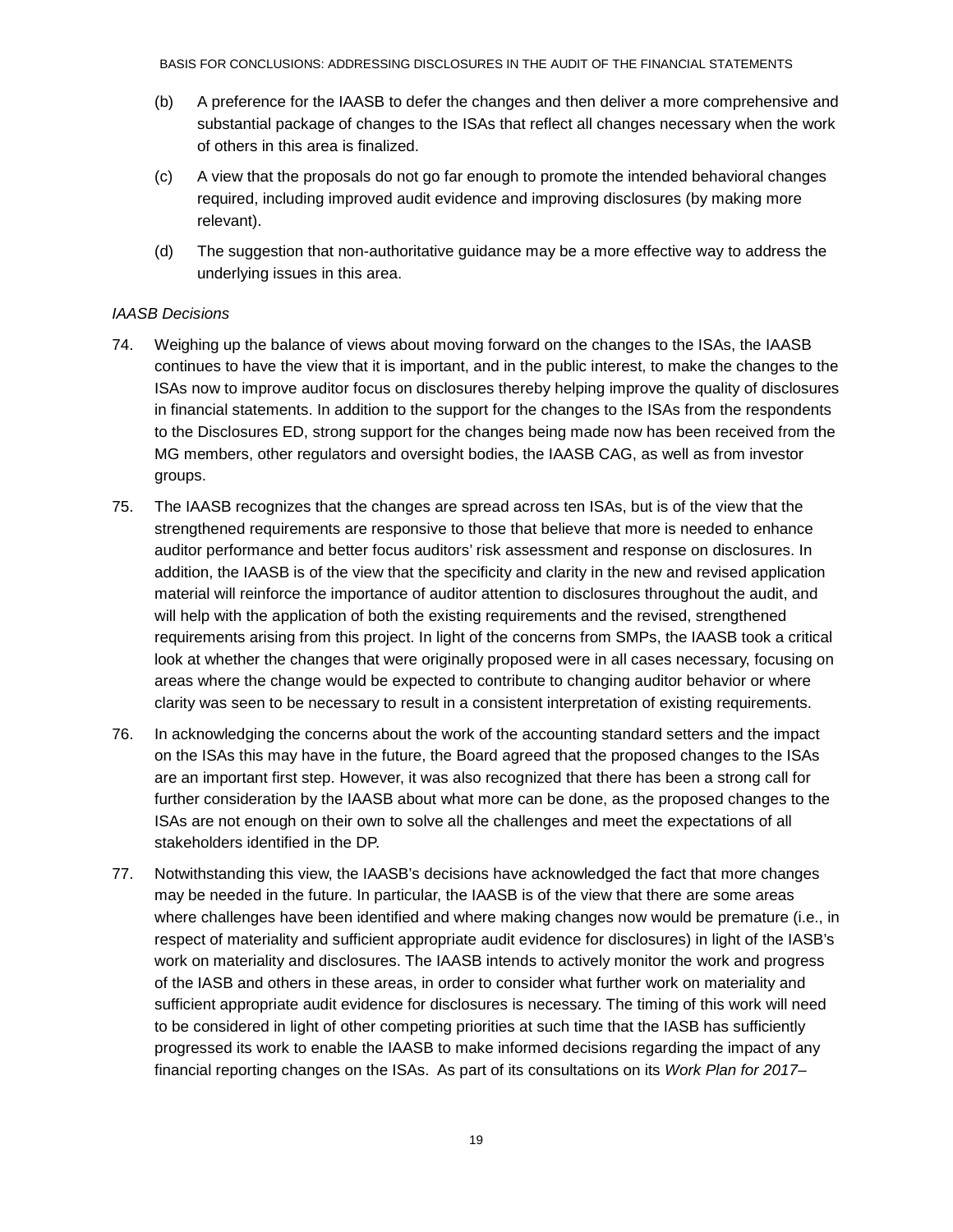- (b) A preference for the IAASB to defer the changes and then deliver a more comprehensive and substantial package of changes to the ISAs that reflect all changes necessary when the work of others in this area is finalized.
- (c) A view that the proposals do not go far enough to promote the intended behavioral changes required, including improved audit evidence and improving disclosures (by making more relevant).
- (d) The suggestion that non-authoritative guidance may be a more effective way to address the underlying issues in this area.

#### *IAASB Decisions*

- 74. Weighing up the balance of views about moving forward on the changes to the ISAs, the IAASB continues to have the view that it is important, and in the public interest, to make the changes to the ISAs now to improve auditor focus on disclosures thereby helping improve the quality of disclosures in financial statements. In addition to the support for the changes to the ISAs from the respondents to the Disclosures ED, strong support for the changes being made now has been received from the MG members, other regulators and oversight bodies, the IAASB CAG, as well as from investor groups.
- 75. The IAASB recognizes that the changes are spread across ten ISAs, but is of the view that the strengthened requirements are responsive to those that believe that more is needed to enhance auditor performance and better focus auditors' risk assessment and response on disclosures. In addition, the IAASB is of the view that the specificity and clarity in the new and revised application material will reinforce the importance of auditor attention to disclosures throughout the audit, and will help with the application of both the existing requirements and the revised, strengthened requirements arising from this project. In light of the concerns from SMPs, the IAASB took a critical look at whether the changes that were originally proposed were in all cases necessary, focusing on areas where the change would be expected to contribute to changing auditor behavior or where clarity was seen to be necessary to result in a consistent interpretation of existing requirements.
- 76. In acknowledging the concerns about the work of the accounting standard setters and the impact on the ISAs this may have in the future, the Board agreed that the proposed changes to the ISAs are an important first step. However, it was also recognized that there has been a strong call for further consideration by the IAASB about what more can be done, as the proposed changes to the ISAs are not enough on their own to solve all the challenges and meet the expectations of all stakeholders identified in the DP.
- 77. Notwithstanding this view, the IAASB's decisions have acknowledged the fact that more changes may be needed in the future. In particular, the IAASB is of the view that there are some areas where challenges have been identified and where making changes now would be premature (i.e., in respect of materiality and sufficient appropriate audit evidence for disclosures) in light of the IASB's work on materiality and disclosures. The IAASB intends to actively monitor the work and progress of the IASB and others in these areas, in order to consider what further work on materiality and sufficient appropriate audit evidence for disclosures is necessary. The timing of this work will need to be considered in light of other competing priorities at such time that the IASB has sufficiently progressed its work to enable the IAASB to make informed decisions regarding the impact of any financial reporting changes on the ISAs. As part of its consultations on its *Work Plan for 2017–*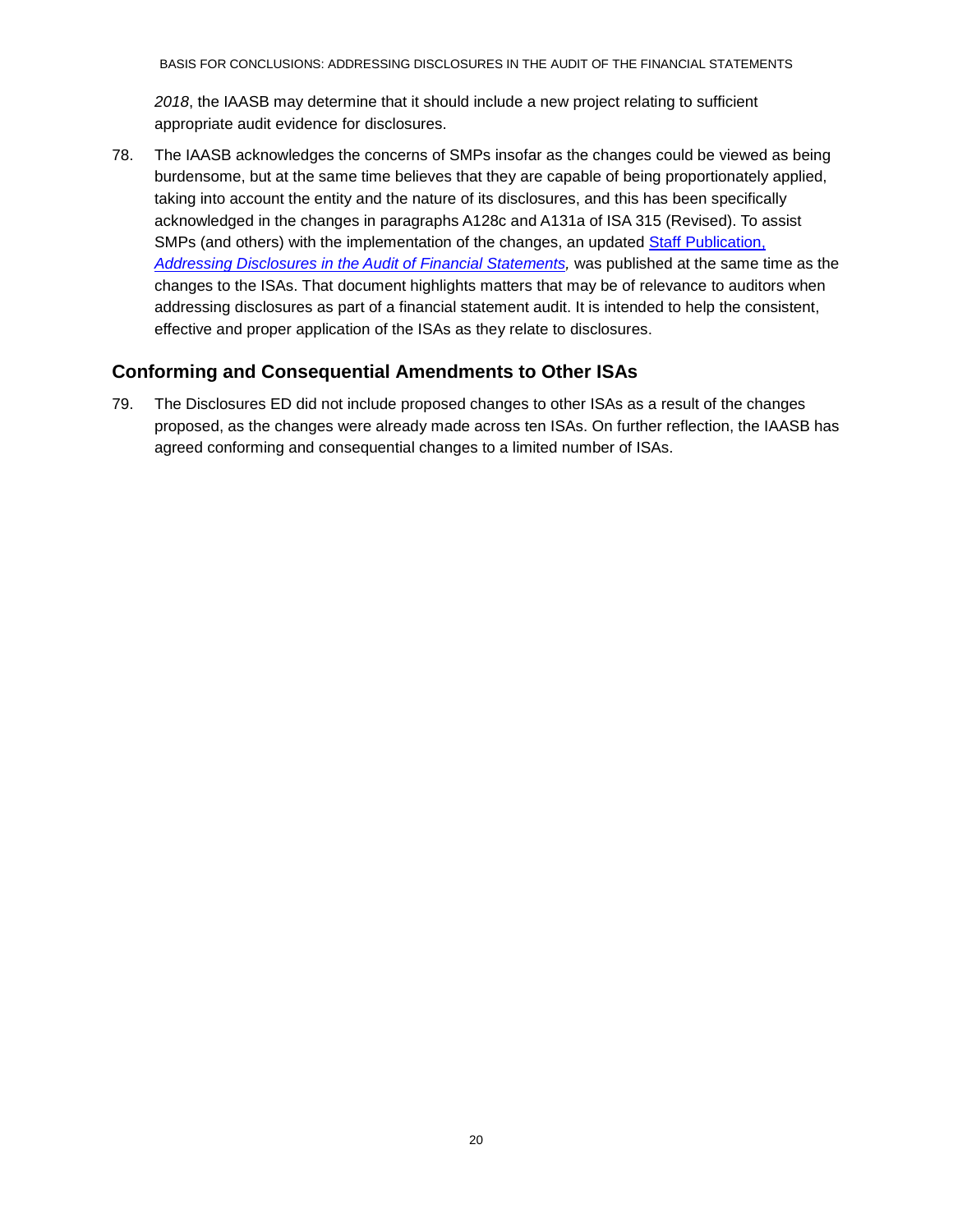*2018*, the IAASB may determine that it should include a new project relating to sufficient appropriate audit evidence for disclosures.

78. The IAASB acknowledges the concerns of SMPs insofar as the changes could be viewed as being burdensome, but at the same time believes that they are capable of being proportionately applied, taking into account the entity and the nature of its disclosures, and this has been specifically acknowledged in the changes in paragraphs A128c and A131a of ISA 315 (Revised). To assist SMPs (and others) with the implementation of the changes, an updated [Staff Publication,](https://www.ifac.org/publications-resources/addressing-disclosures-audit-financial-statements)  *[Addressing Disclosures in the Audit of Financial Statements,](https://www.ifac.org/publications-resources/addressing-disclosures-audit-financial-statements)* was published at the same time as the changes to the ISAs. That document highlights matters that may be of relevance to auditors when addressing disclosures as part of a financial statement audit. It is intended to help the consistent, effective and proper application of the ISAs as they relate to disclosures.

## **Conforming and Consequential Amendments to Other ISAs**

79. The Disclosures ED did not include proposed changes to other ISAs as a result of the changes proposed, as the changes were already made across ten ISAs. On further reflection, the IAASB has agreed conforming and consequential changes to a limited number of ISAs.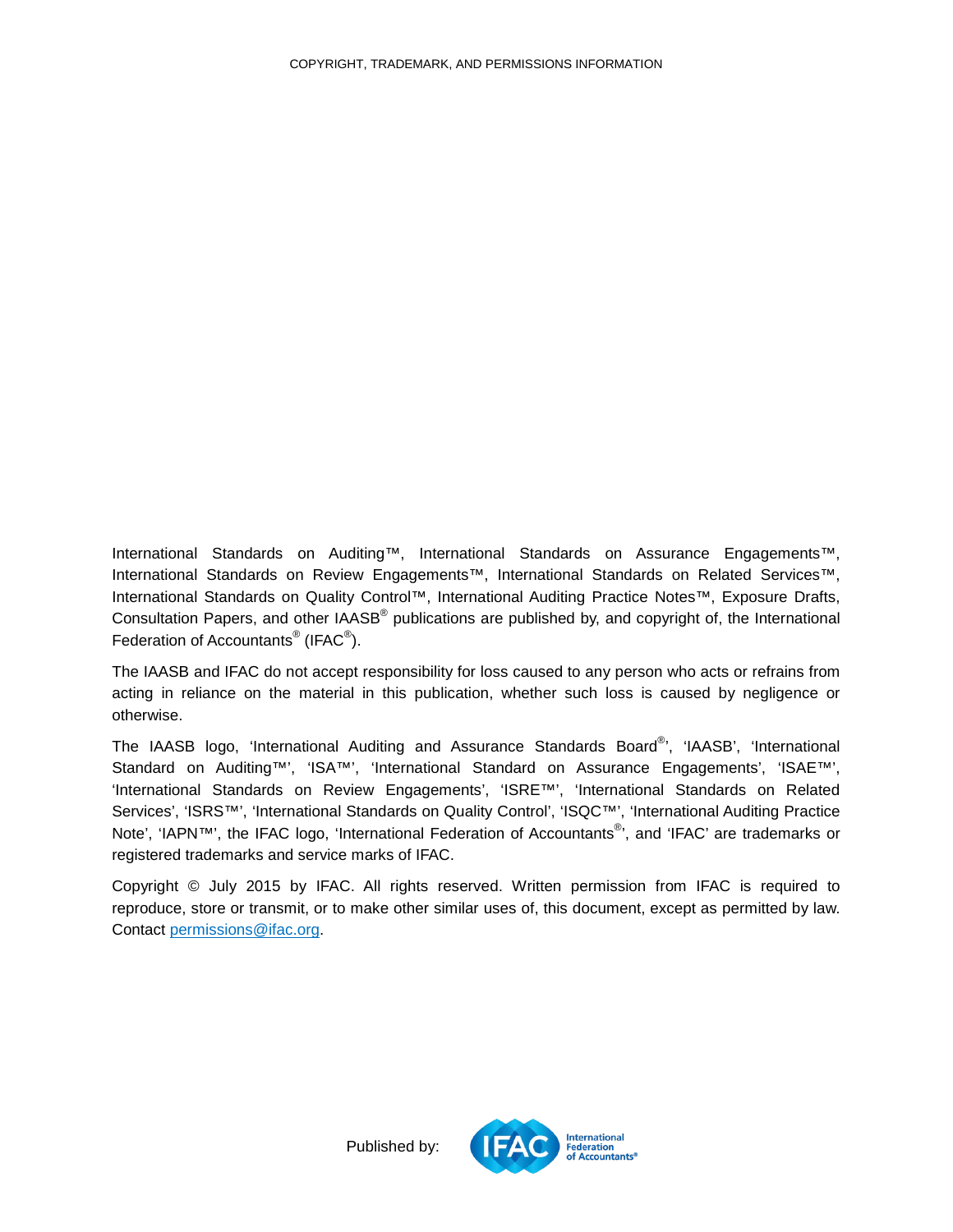International Standards on Auditing™, International Standards on Assurance Engagements™, International Standards on Review Engagements™, International Standards on Related Services™, International Standards on Quality Control™, International Auditing Practice Notes™, Exposure Drafts, Consultation Papers, and other IAASB® publications are published by, and copyright of, the International Federation of Accountants<sup>®</sup> (IFAC<sup>®</sup>).

The IAASB and IFAC do not accept responsibility for loss caused to any person who acts or refrains from acting in reliance on the material in this publication, whether such loss is caused by negligence or otherwise.

The IAASB logo, 'International Auditing and Assurance Standards Board®', 'IAASB', 'International Standard on Auditing™', 'ISA™', 'International Standard on Assurance Engagements', 'ISAE™', 'International Standards on Review Engagements', 'ISRE™', 'International Standards on Related Services', 'ISRS™', 'International Standards on Quality Control', 'ISQC™', 'International Auditing Practice Note', 'IAPN™', the IFAC logo, 'International Federation of Accountants®', and 'IFAC' are trademarks or registered trademarks and service marks of IFAC.

<span id="page-20-0"></span>Copyright © July 2015 by IFAC. All rights reserved. Written permission from IFAC is required to reproduce, store or transmit, or to make other similar uses of, this document, except as permitted by law. Contact [permissions@ifac.org.](mailto:permissions@ifac.org)